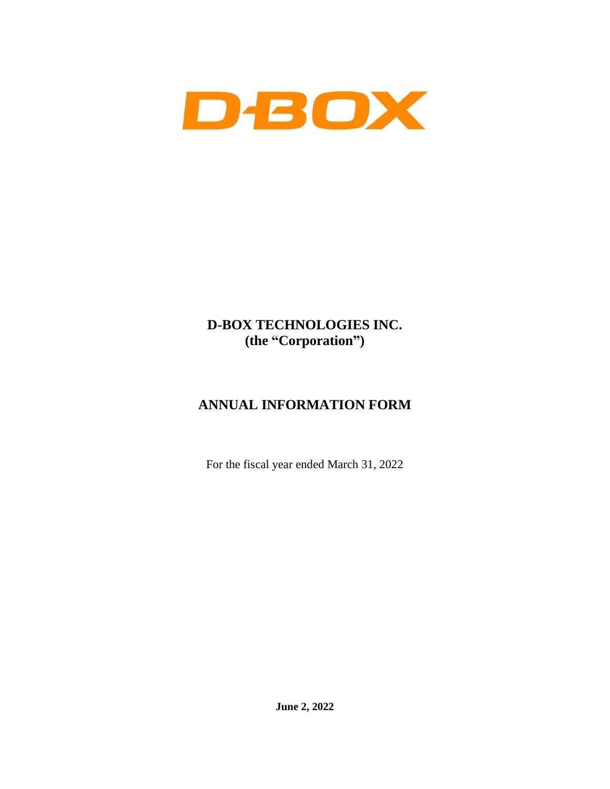

# **D-BOX TECHNOLOGIES INC. (the "Corporation")**

# **ANNUAL INFORMATION FORM**

For the fiscal year ended March 31, 2022

**June 2, 2022**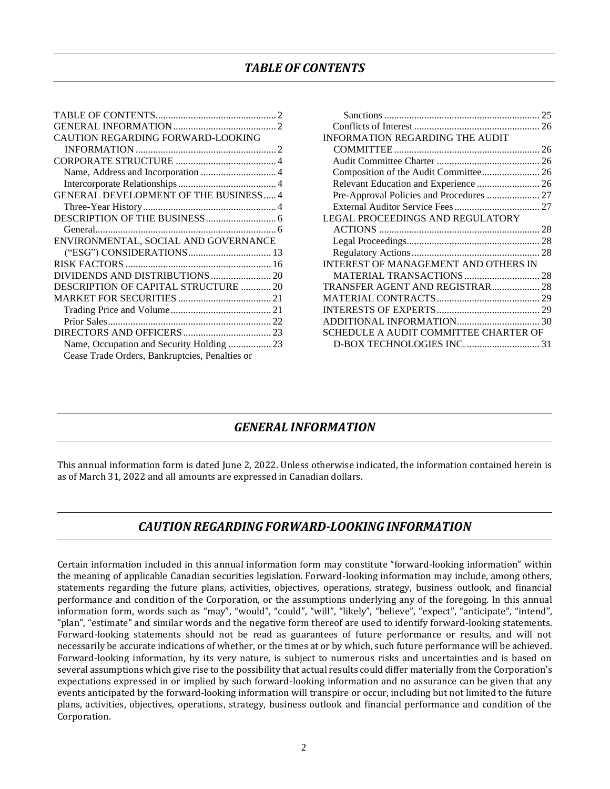### *TABLE OF CONTENTS*

<span id="page-1-0"></span>

| CAUTION REGARDING FORWARD-LOOKING            |  |
|----------------------------------------------|--|
|                                              |  |
|                                              |  |
| Name, Address and Incorporation  4           |  |
|                                              |  |
| <b>GENERAL DEVELOPMENT OF THE BUSINESS 4</b> |  |
|                                              |  |
|                                              |  |
|                                              |  |
|                                              |  |
| ENVIRONMENTAL, SOCIAL AND GOVERNANCE         |  |
|                                              |  |
|                                              |  |
|                                              |  |
| DESCRIPTION OF CAPITAL STRUCTURE  20         |  |
|                                              |  |
|                                              |  |
|                                              |  |
|                                              |  |
| Name, Occupation and Security Holding  23    |  |

| <b>INFORMATION REGARDING THE AUDIT</b>   |  |
|------------------------------------------|--|
|                                          |  |
|                                          |  |
| Composition of the Audit Committee 26    |  |
|                                          |  |
| Pre-Approval Policies and Procedures  27 |  |
|                                          |  |
| LEGAL PROCEEDINGS AND REGULATORY         |  |
|                                          |  |
|                                          |  |
|                                          |  |
| INTEREST OF MANAGEMENT AND OTHERS IN     |  |
| MATERIAL TRANSACTIONS  28                |  |
| TRANSFER AGENT AND REGISTRAR 28          |  |
|                                          |  |
|                                          |  |
|                                          |  |
| SCHEDULE A AUDIT COMMITTEE CHARTER OF    |  |
| D-BOX TECHNOLOGIES INC.  31              |  |

### *GENERAL INFORMATION*

<span id="page-1-1"></span>This annual information form is dated June 2, 2022. Unless otherwise indicated, the information contained herein is as of March 31, 2022 and all amounts are expressed in Canadian dollars.

### *CAUTION REGARDING FORWARD-LOOKING INFORMATION*

<span id="page-1-2"></span>Certain information included in this annual information form may constitute "forward-looking information" within the meaning of applicable Canadian securities legislation. Forward-looking information may include, among others, statements regarding the future plans, activities, objectives, operations, strategy, business outlook, and financial performance and condition of the Corporation, or the assumptions underlying any of the foregoing. In this annual information form, words such as "may", "would", "could", "will", "likely", "believe", "expect", "anticipate", "intend", "plan", "estimate" and similar words and the negative form thereof are used to identify forward-looking statements. Forward-looking statements should not be read as guarantees of future performance or results, and will not necessarily be accurate indications of whether, or the times at or by which, such future performance will be achieved. Forward-looking information, by its very nature, is subject to numerous risks and uncertainties and is based on several assumptions which give rise to the possibility that actual results could differ materially from the Corporation's expectations expressed in or implied by such forward-looking information and no assurance can be given that any events anticipated by the forward-looking information will transpire or occur, including but not limited to the future plans, activities, objectives, operations, strategy, business outlook and financial performance and condition of the Corporation.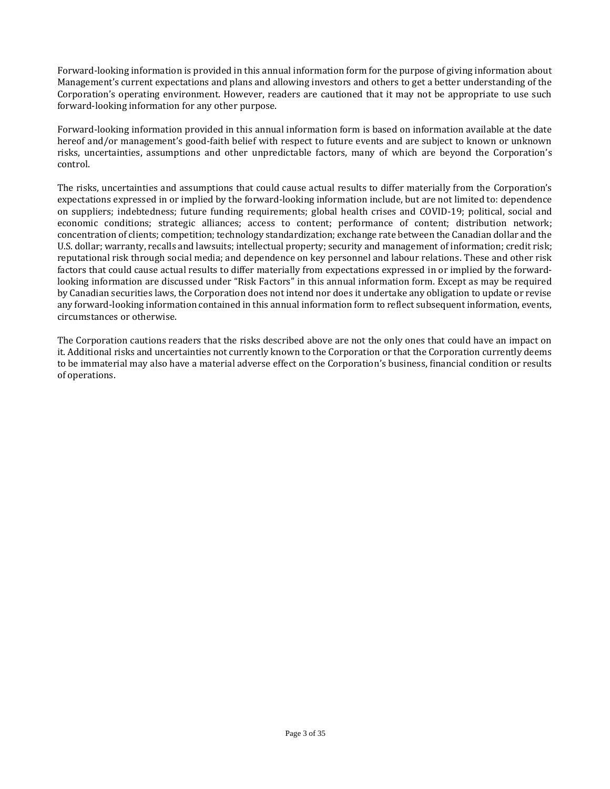Forward-looking information is provided in this annual information form for the purpose of giving information about Management's current expectations and plans and allowing investors and others to get a better understanding of the Corporation's operating environment. However, readers are cautioned that it may not be appropriate to use such forward-looking information for any other purpose.

Forward-looking information provided in this annual information form is based on information available at the date hereof and/or management's good-faith belief with respect to future events and are subject to known or unknown risks, uncertainties, assumptions and other unpredictable factors, many of which are beyond the Corporation's control.

The risks, uncertainties and assumptions that could cause actual results to differ materially from the Corporation's expectations expressed in or implied by the forward-looking information include, but are not limited to: dependence on suppliers; indebtedness; future funding requirements; global health crises and COVID-19; political, social and economic conditions; strategic alliances; access to content; performance of content; distribution network; concentration of clients; competition; technology standardization; exchange rate between the Canadian dollar and the U.S. dollar; warranty, recalls and lawsuits; intellectual property; security and management of information; credit risk; reputational risk through social media; and dependence on key personnel and labour relations. These and other risk factors that could cause actual results to differ materially from expectations expressed in or implied by the forwardlooking information are discussed under "Risk Factors" in this annual information form. Except as may be required by Canadian securities laws, the Corporation does not intend nor does it undertake any obligation to update or revise any forward-looking information contained in this annual information form to reflect subsequent information, events, circumstances or otherwise.

The Corporation cautions readers that the risks described above are not the only ones that could have an impact on it. Additional risks and uncertainties not currently known to the Corporation or that the Corporation currently deems to be immaterial may also have a material adverse effect on the Corporation's business, financial condition or results of operations.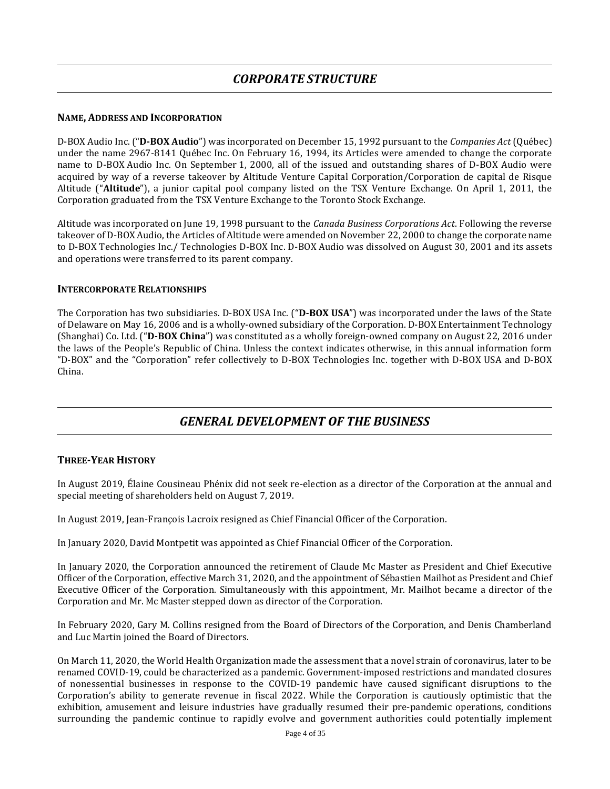### <span id="page-3-1"></span><span id="page-3-0"></span>**NAME, ADDRESS AND INCORPORATION**

D-BOX Audio Inc. ("**D-BOX Audio**") was incorporated on December 15, 1992 pursuant to the *Companies Act* (Québec) under the name 2967-8141 Québec Inc. On February 16, 1994, its Articles were amended to change the corporate name to D-BOX Audio Inc. On September 1, 2000, all of the issued and outstanding shares of D-BOX Audio were acquired by way of a reverse takeover by Altitude Venture Capital Corporation/Corporation de capital de Risque Altitude ("**Altitude**"), a junior capital pool company listed on the TSX Venture Exchange. On April 1, 2011, the Corporation graduated from the TSX Venture Exchange to the Toronto Stock Exchange.

Altitude was incorporated on June 19, 1998 pursuant to the *Canada Business Corporations Act*. Following the reverse takeover of D-BOX Audio, the Articles of Altitude were amended on November 22, 2000 to change the corporate name to D-BOX Technologies Inc./ Technologies D-BOX Inc. D-BOX Audio was dissolved on August 30, 2001 and its assets and operations were transferred to its parent company.

### <span id="page-3-2"></span>**INTERCORPORATE RELATIONSHIPS**

The Corporation has two subsidiaries. D-BOX USA Inc. ("**D-BOX USA**") was incorporated under the laws of the State of Delaware on May 16, 2006 and is a wholly-owned subsidiary of the Corporation. D-BOX Entertainment Technology (Shanghai) Co. Ltd. ("**D-BOX China**") was constituted as a wholly foreign-owned company on August 22, 2016 under the laws of the People's Republic of China. Unless the context indicates otherwise, in this annual information form "D-BOX" and the "Corporation" refer collectively to D-BOX Technologies Inc. together with D-BOX USA and D-BOX China.

### *GENERAL DEVELOPMENT OF THE BUSINESS*

### <span id="page-3-4"></span><span id="page-3-3"></span>**THREE-YEAR HISTORY**

In August 2019, Élaine Cousineau Phénix did not seek re-election as a director of the Corporation at the annual and special meeting of shareholders held on August 7, 2019.

In August 2019, Jean-François Lacroix resigned as Chief Financial Officer of the Corporation.

In January 2020, David Montpetit was appointed as Chief Financial Officer of the Corporation.

In January 2020, the Corporation announced the retirement of Claude Mc Master as President and Chief Executive Officer of the Corporation, effective March 31, 2020, and the appointment of Sébastien Mailhot as President and Chief Executive Officer of the Corporation. Simultaneously with this appointment, Mr. Mailhot became a director of the Corporation and Mr. Mc Master stepped down as director of the Corporation.

In February 2020, Gary M. Collins resigned from the Board of Directors of the Corporation, and Denis Chamberland and Luc Martin joined the Board of Directors.

On March 11, 2020, the World Health Organization made the assessment that a novel strain of coronavirus, later to be renamed COVID-19, could be characterized as a pandemic. Government-imposed restrictions and mandated closures of nonessential businesses in response to the COVID-19 pandemic have caused significant disruptions to the Corporation's ability to generate revenue in fiscal 2022. While the Corporation is cautiously optimistic that the exhibition, amusement and leisure industries have gradually resumed their pre-pandemic operations, conditions surrounding the pandemic continue to rapidly evolve and government authorities could potentially implement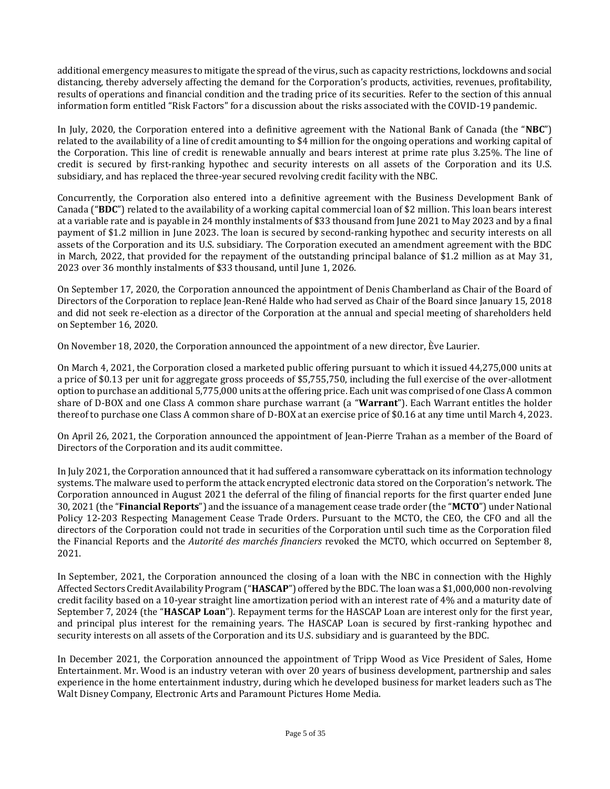additional emergency measures to mitigate the spread of the virus, such as capacity restrictions, lockdowns and social distancing, thereby adversely affecting the demand for the Corporation's products, activities, revenues, profitability, results of operations and financial condition and the trading price of its securities. Refer to the section of this annual information form entitled "Risk Factors" for a discussion about the risks associated with the COVID-19 pandemic.

In July, 2020, the Corporation entered into a definitive agreement with the National Bank of Canada (the "**NBC**") related to the availability of a line of credit amounting to \$4 million for the ongoing operations and working capital of the Corporation. This line of credit is renewable annually and bears interest at prime rate plus 3.25%. The line of credit is secured by first-ranking hypothec and security interests on all assets of the Corporation and its U.S. subsidiary, and has replaced the three-year secured revolving credit facility with the NBC.

Concurrently, the Corporation also entered into a definitive agreement with the Business Development Bank of Canada ("**BDC**") related to the availability of a working capital commercial loan of \$2 million. This loan bears interest at a variable rate and is payable in 24 monthly instalments of \$33 thousand from June 2021 to May 2023 and by a final payment of \$1.2 million in June 2023. The loan is secured by second-ranking hypothec and security interests on all assets of the Corporation and its U.S. subsidiary. The Corporation executed an amendment agreement with the BDC in March, 2022, that provided for the repayment of the outstanding principal balance of \$1.2 million as at May 31, 2023 over 36 monthly instalments of \$33 thousand, until June 1, 2026.

On September 17, 2020, the Corporation announced the appointment of Denis Chamberland as Chair of the Board of Directors of the Corporation to replace Jean-René Halde who had served as Chair of the Board since January 15, 2018 and did not seek re-election as a director of the Corporation at the annual and special meeting of shareholders held on September 16, 2020.

On November 18, 2020, the Corporation announced the appointment of a new director, Ève Laurier.

On March 4, 2021, the Corporation closed a marketed public offering pursuant to which it issued 44,275,000 units at a price of \$0.13 per unit for aggregate gross proceeds of \$5,755,750, including the full exercise of the over-allotment option to purchase an additional 5,775,000 units at the offering price. Each unit was comprised of one Class A common share of D-BOX and one Class A common share purchase warrant (a "**Warrant**"). Each Warrant entitles the holder thereof to purchase one Class A common share of D-BOX at an exercise price of \$0.16 at any time until March 4, 2023.

On April 26, 2021, the Corporation announced the appointment of Jean-Pierre Trahan as a member of the Board of Directors of the Corporation and its audit committee.

In July 2021, the Corporation announced that it had suffered a ransomware cyberattack on its information technology systems. The malware used to perform the attack encrypted electronic data stored on the Corporation's network. The Corporation announced in August 2021 the deferral of the filing of financial reports for the first quarter ended June 30, 2021 (the "**Financial Reports**") and the issuance of a management cease trade order (the "**MCTO**") under National Policy 12-203 Respecting Management Cease Trade Orders. Pursuant to the MCTO, the CEO, the CFO and all the directors of the Corporation could not trade in securities of the Corporation until such time as the Corporation filed the Financial Reports and the *Autorité des marchés financiers* revoked the MCTO, which occurred on September 8, 2021.

In September, 2021, the Corporation announced the closing of a loan with the NBC in connection with the Highly Affected Sectors Credit Availability Program ("**HASCAP**") offered by the BDC. The loan was a \$1,000,000 non-revolving credit facility based on a 10-year straight line amortization period with an interest rate of 4% and a maturity date of September 7, 2024 (the "**HASCAP Loan**"). Repayment terms for the HASCAP Loan are interest only for the first year, and principal plus interest for the remaining years. The HASCAP Loan is secured by first-ranking hypothec and security interests on all assets of the Corporation and its U.S. subsidiary and is guaranteed by the BDC.

In December 2021, the Corporation announced the appointment of Tripp Wood as Vice President of Sales, Home Entertainment. Mr. Wood is an industry veteran with over 20 years of business development, partnership and sales experience in the home entertainment industry, during which he developed business for market leaders such as The Walt Disney Company, Electronic Arts and Paramount Pictures Home Media.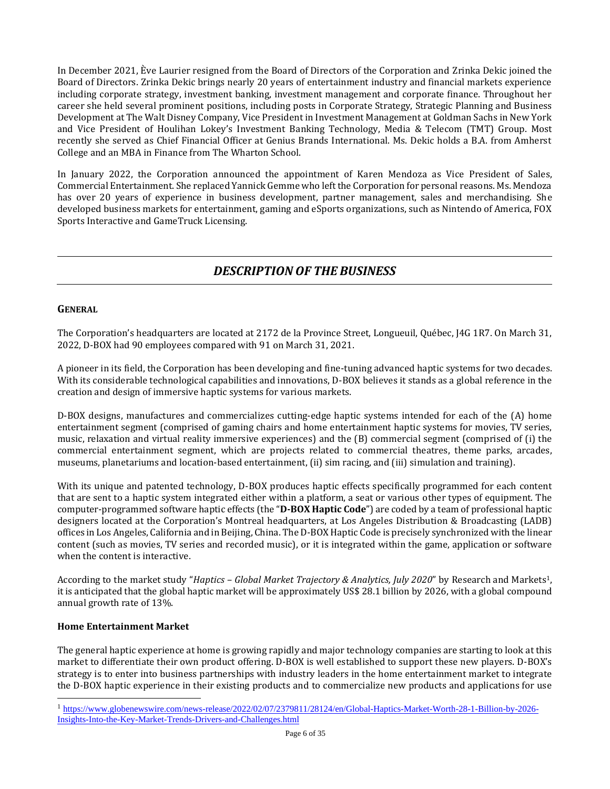In December 2021, Ève Laurier resigned from the Board of Directors of the Corporation and Zrinka Dekic joined the Board of Directors. Zrinka Dekic brings nearly 20 years of entertainment industry and financial markets experience including corporate strategy, investment banking, investment management and corporate finance. Throughout her career she held several prominent positions, including posts in Corporate Strategy, Strategic Planning and Business Development at The Walt Disney Company, Vice President in Investment Management at Goldman Sachs in New York and Vice President of Houlihan Lokey's Investment Banking Technology, Media & Telecom (TMT) Group. Most recently she served as Chief Financial Officer at Genius Brands International. Ms. Dekic holds a B.A. from Amherst College and an MBA in Finance from The Wharton School.

In January 2022, the Corporation announced the appointment of Karen Mendoza as Vice President of Sales, Commercial Entertainment. She replaced Yannick Gemme who left the Corporation for personal reasons. Ms. Mendoza has over 20 years of experience in business development, partner management, sales and merchandising. She developed business markets for entertainment, gaming and eSports organizations, such as Nintendo of America, FOX Sports Interactive and GameTruck Licensing.

## *DESCRIPTION OF THE BUSINESS*

### <span id="page-5-1"></span><span id="page-5-0"></span>**GENERAL**

The Corporation's headquarters are located at 2172 de la Province Street, Longueuil, Québec, J4G 1R7. On March 31, 2022, D-BOX had 90 employees compared with 91 on March 31, 2021.

A pioneer in its field, the Corporation has been developing and fine-tuning advanced haptic systems for two decades. With its considerable technological capabilities and innovations, D-BOX believes it stands as a global reference in the creation and design of immersive haptic systems for various markets.

D-BOX designs, manufactures and commercializes cutting-edge haptic systems intended for each of the (A) home entertainment segment (comprised of gaming chairs and home entertainment haptic systems for movies, TV series, music, relaxation and virtual reality immersive experiences) and the (B) commercial segment (comprised of (i) the commercial entertainment segment, which are projects related to commercial theatres, theme parks, arcades, museums, planetariums and location-based entertainment, (ii) sim racing, and (iii) simulation and training).

With its unique and patented technology, D-BOX produces haptic effects specifically programmed for each content that are sent to a haptic system integrated either within a platform, a seat or various other types of equipment. The computer-programmed software haptic effects (the "**D-BOX Haptic Code**") are coded by a team of professional haptic designers located at the Corporation's Montreal headquarters, at Los Angeles Distribution & Broadcasting (LADB) offices in Los Angeles, California and in Beijing, China. The D-BOX Haptic Code is precisely synchronized with the linear content (such as movies, TV series and recorded music), or it is integrated within the game, application or software when the content is interactive.

According to the market study "*Haptics – Global Market Trajectory & Analytics, July 2020*" by Research and Markets1, it is anticipated that the global haptic market will be approximately US\$ 28.1 billion by 2026, with a global compound annual growth rate of 13%.

### **Home Entertainment Market**

The general haptic experience at home is growing rapidly and major technology companies are starting to look at this market to differentiate their own product offering. D-BOX is well established to support these new players. D-BOX's strategy is to enter into business partnerships with industry leaders in the home entertainment market to integrate the D-BOX haptic experience in their existing products and to commercialize new products and applications for use

<sup>1</sup> [https://www.globenewswire.com/news-release/2022/02/07/2379811/28124/en/Global-Haptics-Market-Worth-28-1-Billion-by-2026-](https://www.globenewswire.com/news-release/2022/02/07/2379811/28124/en/Global-Haptics-Market-Worth-28-1-Billion-by-2026-Insights-Into-the-Key-Market-Trends-Drivers-and-Challenges.html) [Insights-Into-the-Key-Market-Trends-Drivers-and-Challenges.html](https://www.globenewswire.com/news-release/2022/02/07/2379811/28124/en/Global-Haptics-Market-Worth-28-1-Billion-by-2026-Insights-Into-the-Key-Market-Trends-Drivers-and-Challenges.html)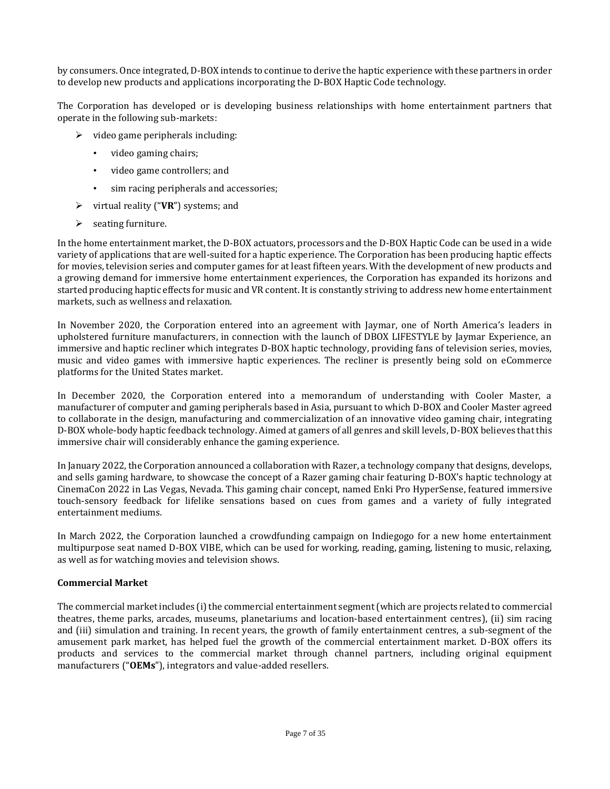by consumers. Once integrated, D-BOX intends to continue to derive the haptic experience with these partners in order to develop new products and applications incorporating the D-BOX Haptic Code technology.

The Corporation has developed or is developing business relationships with home entertainment partners that operate in the following sub-markets:

- $\triangleright$  video game peripherals including:
	- video gaming chairs;
	- video game controllers; and
	- sim racing peripherals and accessories;
- ➢ virtual reality ("**VR**") systems; and
- ➢ seating furniture.

In the home entertainment market, the D-BOX actuators, processors and the D-BOX Haptic Code can be used in a wide variety of applications that are well-suited for a haptic experience. The Corporation has been producing haptic effects for movies, television series and computer games for at least fifteen years. With the development of new products and a growing demand for immersive home entertainment experiences, the Corporation has expanded its horizons and started producing haptic effects for music and VR content. It is constantly striving to address new home entertainment markets, such as wellness and relaxation.

In November 2020, the Corporation entered into an agreement with Jaymar, one of North America's leaders in upholstered furniture manufacturers, in connection with the launch of DBOX LIFESTYLE by Jaymar Experience, an immersive and haptic recliner which integrates D-BOX haptic technology, providing fans of television series, movies, music and video games with immersive haptic experiences. The recliner is presently being sold on eCommerce platforms for the United States market.

In December 2020, the Corporation entered into a memorandum of understanding with Cooler Master, a manufacturer of computer and gaming peripherals based in Asia, pursuant to which D-BOX and Cooler Master agreed to collaborate in the design, manufacturing and commercialization of an innovative video gaming chair, integrating D-BOX whole-body haptic feedback technology. Aimed at gamers of all genres and skill levels, D-BOX believes that this immersive chair will considerably enhance the gaming experience.

In January 2022, the Corporation announced a collaboration with Razer, a technology company that designs, develops, and sells gaming hardware, to showcase the concept of a Razer gaming chair featuring D-BOX's haptic technology at CinemaCon 2022 in Las Vegas, Nevada. This gaming chair concept, named Enki Pro HyperSense, featured immersive touch-sensory feedback for lifelike sensations based on cues from games and a variety of fully integrated entertainment mediums.

In March 2022, the Corporation launched a crowdfunding campaign on Indiegogo for a new home entertainment multipurpose seat named D-BOX VIBE, which can be used for working, reading, gaming, listening to music, relaxing, as well as for watching movies and television shows.

### **Commercial Market**

The commercial market includes (i) the commercial entertainment segment (which are projects related to commercial theatres, theme parks, arcades, museums, planetariums and location-based entertainment centres), (ii) sim racing and (iii) simulation and training. In recent years, the growth of family entertainment centres, a sub-segment of the amusement park market, has helped fuel the growth of the commercial entertainment market. D-BOX offers its products and services to the commercial market through channel partners, including original equipment manufacturers ("**OEMs**"), integrators and value-added resellers.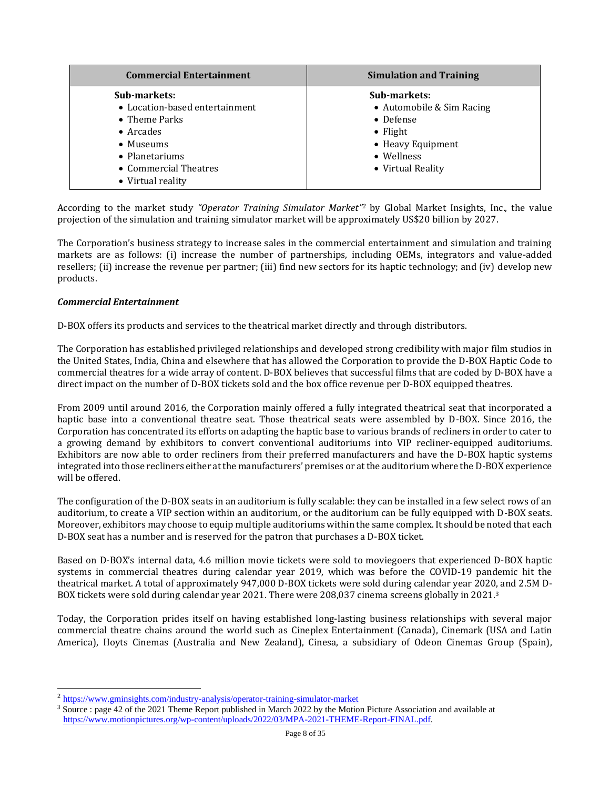| <b>Commercial Entertainment</b> | <b>Simulation and Training</b> |
|---------------------------------|--------------------------------|
| Sub-markets:                    | Sub-markets:                   |
| • Location-based entertainment  | • Automobile & Sim Racing      |
| • Theme Parks                   | • Defense                      |
| $\bullet$ Arcades               | $\bullet$ Flight               |
| • Museums                       | • Heavy Equipment              |
| • Planetariums                  | • Wellness                     |
| • Commercial Theatres           | • Virtual Reality              |
| • Virtual reality               |                                |

According to the market study *"Operator Training Simulator Market" <sup>2</sup>* by Global Market Insights, Inc., the value projection of the simulation and training simulator market will be approximately US\$20 billion by 2027.

The Corporation's business strategy to increase sales in the commercial entertainment and simulation and training markets are as follows: (i) increase the number of partnerships, including OEMs, integrators and value-added resellers; (ii) increase the revenue per partner; (iii) find new sectors for its haptic technology; and (iv) develop new products.

### *Commercial Entertainment*

D-BOX offers its products and services to the theatrical market directly and through distributors.

The Corporation has established privileged relationships and developed strong credibility with major film studios in the United States, India, China and elsewhere that has allowed the Corporation to provide the D-BOX Haptic Code to commercial theatres for a wide array of content. D-BOX believes that successful films that are coded by D-BOX have a direct impact on the number of D-BOX tickets sold and the box office revenue per D-BOX equipped theatres.

From 2009 until around 2016, the Corporation mainly offered a fully integrated theatrical seat that incorporated a haptic base into a conventional theatre seat. Those theatrical seats were assembled by D-BOX. Since 2016, the Corporation has concentrated its efforts on adapting the haptic base to various brands of recliners in order to cater to a growing demand by exhibitors to convert conventional auditoriums into VIP recliner-equipped auditoriums. Exhibitors are now able to order recliners from their preferred manufacturers and have the D-BOX haptic systems integrated into those recliners either at the manufacturers' premises or at the auditorium where the D-BOX experience will be offered.

The configuration of the D-BOX seats in an auditorium is fully scalable: they can be installed in a few select rows of an auditorium, to create a VIP section within an auditorium, or the auditorium can be fully equipped with D-BOX seats. Moreover, exhibitors may choose to equip multiple auditoriums within the same complex. It should be noted that each D-BOX seat has a number and is reserved for the patron that purchases a D-BOX ticket.

Based on D-BOX's internal data, 4.6 million movie tickets were sold to moviegoers that experienced D-BOX haptic systems in commercial theatres during calendar year 2019, which was before the COVID-19 pandemic hit the theatrical market. A total of approximately 947,000 D-BOX tickets were sold during calendar year 2020, and 2.5M D-BOX tickets were sold during calendar year 2021. There were 208,037 cinema screens globally in 2021. 3

Today, the Corporation prides itself on having established long-lasting business relationships with several major commercial theatre chains around the world such as Cineplex Entertainment (Canada), Cinemark (USA and Latin America), Hoyts Cinemas (Australia and New Zealand), Cinesa, a subsidiary of Odeon Cinemas Group (Spain),

<sup>&</sup>lt;sup>2</sup> <https://www.gminsights.com/industry-analysis/operator-training-simulator-market>

<sup>&</sup>lt;sup>3</sup> Source : page 42 of the 2021 Theme Report published in March 2022 by the Motion Picture Association and available at [https://www.motionpictures.org/wp-content/uploads/2022/03/MPA-2021-THEME-Report-FINAL.pdf.](https://www.motionpictures.org/wp-content/uploads/2022/03/MPA-2021-THEME-Report-FINAL.pdf)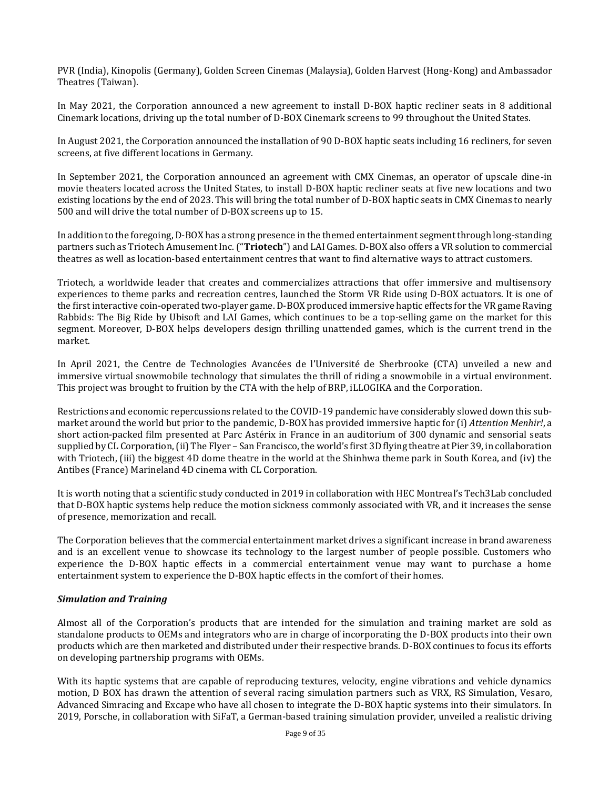PVR (India), Kinopolis (Germany), Golden Screen Cinemas (Malaysia), Golden Harvest (Hong-Kong) and Ambassador Theatres (Taiwan).

In May 2021, the Corporation announced a new agreement to install D-BOX haptic recliner seats in 8 additional Cinemark locations, driving up the total number of D-BOX Cinemark screens to 99 throughout the United States.

In August 2021, the Corporation announced the installation of 90 D-BOX haptic seats including 16 recliners, for seven screens, at five different locations in Germany.

In September 2021, the Corporation announced an agreement with CMX Cinemas, an operator of upscale dine-in movie theaters located across the United States, to install D-BOX haptic recliner seats at five new locations and two existing locations by the end of 2023. This will bring the total number of D-BOX haptic seats in CMX Cinemas to nearly 500 and will drive the total number of D-BOX screens up to 15.

In addition to the foregoing, D-BOX has a strong presence in the themed entertainment segment through long-standing partners such as Triotech Amusement Inc. ("**Triotech**") and LAI Games. D-BOX also offers a VR solution to commercial theatres as well as location-based entertainment centres that want to find alternative ways to attract customers.

Triotech, a worldwide leader that creates and commercializes attractions that offer immersive and multisensory experiences to theme parks and recreation centres, launched the Storm VR Ride using D-BOX actuators. It is one of the first interactive coin-operated two-player game. D-BOX produced immersive haptic effects for the VR game Raving Rabbids: The Big Ride by Ubisoft and LAI Games, which continues to be a top-selling game on the market for this segment. Moreover, D-BOX helps developers design thrilling unattended games, which is the current trend in the market.

In April 2021, the Centre de Technologies Avancées de l'Université de Sherbrooke (CTA) unveiled a new and immersive virtual snowmobile technology that simulates the thrill of riding a snowmobile in a virtual environment. This project was brought to fruition by the CTA with the help of BRP, iLLOGIKA and the Corporation.

Restrictions and economic repercussions related to the COVID-19 pandemic have considerably slowed down this submarket around the world but prior to the pandemic, D-BOX has provided immersive haptic for (i) *Attention Menhir!*, a short action-packed film presented at Parc Astérix in France in an auditorium of 300 dynamic and sensorial seats supplied by CL Corporation, (ii) The Flyer – San Francisco, the world's first 3D flying theatre at Pier 39, in collaboration with Triotech, (iii) the biggest 4D dome theatre in the world at the Shinhwa theme park in South Korea, and (iv) the Antibes (France) Marineland 4D cinema with CL Corporation.

It is worth noting that a scientific study conducted in 2019 in collaboration with HEC Montreal's Tech3Lab concluded that D-BOX haptic systems help reduce the motion sickness commonly associated with VR, and it increases the sense of presence, memorization and recall.

The Corporation believes that the commercial entertainment market drives a significant increase in brand awareness and is an excellent venue to showcase its technology to the largest number of people possible. Customers who experience the D-BOX haptic effects in a commercial entertainment venue may want to purchase a home entertainment system to experience the D-BOX haptic effects in the comfort of their homes.

### *Simulation and Training*

Almost all of the Corporation's products that are intended for the simulation and training market are sold as standalone products to OEMs and integrators who are in charge of incorporating the D-BOX products into their own products which are then marketed and distributed under their respective brands. D-BOX continues to focus its efforts on developing partnership programs with OEMs.

With its haptic systems that are capable of reproducing textures, velocity, engine vibrations and vehicle dynamics motion, D BOX has drawn the attention of several racing simulation partners such as VRX, RS Simulation, Vesaro, Advanced Simracing and Excape who have all chosen to integrate the D-BOX haptic systems into their simulators. In 2019, Porsche, in collaboration with SiFaT, a German-based training simulation provider, unveiled a realistic driving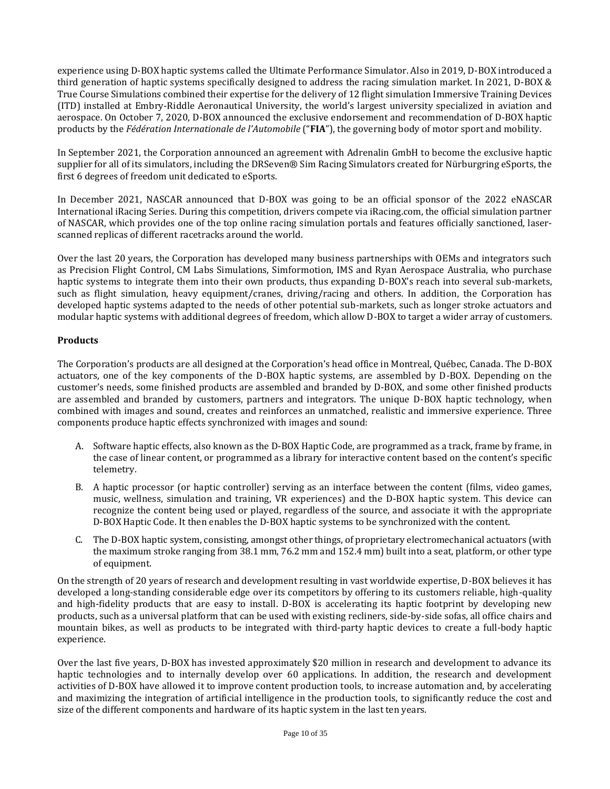experience using D-BOX haptic systems called the Ultimate Performance Simulator. Also in 2019, D-BOX introduced a third generation of haptic systems specifically designed to address the racing simulation market. In 2021, D-BOX & True Course Simulations combined their expertise for the delivery of 12 flight simulation Immersive Training Devices (ITD) installed at Embry-Riddle Aeronautical University, the world's largest university specialized in aviation and aerospace. On October 7, 2020, D-BOX announced the exclusive endorsement and recommendation of D-BOX haptic products by the *Fédération Internationale de l'Automobile* ("**FIA**"), the governing body of motor sport and mobility.

In September 2021, the Corporation announced an agreement with Adrenalin GmbH to become the exclusive haptic supplier for all of its simulators, including the DRSeven® Sim Racing Simulators created for Nürburgring eSports, the first 6 degrees of freedom unit dedicated to eSports.

In December 2021, NASCAR announced that D-BOX was going to be an official sponsor of the 2022 eNASCAR International iRacing Series. During this competition, drivers compete via iRacing.com, the official simulation partner of NASCAR, which provides one of the top online racing simulation portals and features officially sanctioned, laserscanned replicas of different racetracks around the world.

Over the last 20 years, the Corporation has developed many business partnerships with OEMs and integrators such as Precision Flight Control, CM Labs Simulations, Simformotion, IMS and Ryan Aerospace Australia, who purchase haptic systems to integrate them into their own products, thus expanding D-BOX's reach into several sub-markets, such as flight simulation, heavy equipment/cranes, driving/racing and others. In addition, the Corporation has developed haptic systems adapted to the needs of other potential sub-markets, such as longer stroke actuators and modular haptic systems with additional degrees of freedom, which allow D-BOX to target a wider array of customers.

### **Products**

The Corporation's products are all designed at the Corporation's head office in Montreal, Québec, Canada. The D-BOX actuators, one of the key components of the D-BOX haptic systems, are assembled by D-BOX. Depending on the customer's needs, some finished products are assembled and branded by D-BOX, and some other finished products are assembled and branded by customers, partners and integrators. The unique D-BOX haptic technology, when combined with images and sound, creates and reinforces an unmatched, realistic and immersive experience. Three components produce haptic effects synchronized with images and sound:

- A. Software haptic effects, also known as the D-BOX Haptic Code, are programmed as a track, frame by frame, in the case of linear content, or programmed as a library for interactive content based on the content's specific telemetry.
- B. A haptic processor (or haptic controller) serving as an interface between the content (films, video games, music, wellness, simulation and training, VR experiences) and the D-BOX haptic system. This device can recognize the content being used or played, regardless of the source, and associate it with the appropriate D-BOX Haptic Code. It then enables the D-BOX haptic systems to be synchronized with the content.
- C. The D-BOX haptic system, consisting, amongst other things, of proprietary electromechanical actuators (with the maximum stroke ranging from 38.1 mm, 76.2 mm and 152.4 mm) built into a seat, platform, or other type of equipment.

On the strength of 20 years of research and development resulting in vast worldwide expertise, D-BOX believes it has developed a long-standing considerable edge over its competitors by offering to its customers reliable, high-quality and high-fidelity products that are easy to install. D-BOX is accelerating its haptic footprint by developing new products, such as a universal platform that can be used with existing recliners, side-by-side sofas, all office chairs and mountain bikes, as well as products to be integrated with third-party haptic devices to create a full-body haptic experience.

Over the last five years, D-BOX has invested approximately \$20 million in research and development to advance its haptic technologies and to internally develop over 60 applications. In addition, the research and development activities of D-BOX have allowed it to improve content production tools, to increase automation and, by accelerating and maximizing the integration of artificial intelligence in the production tools, to significantly reduce the cost and size of the different components and hardware of its haptic system in the last ten years.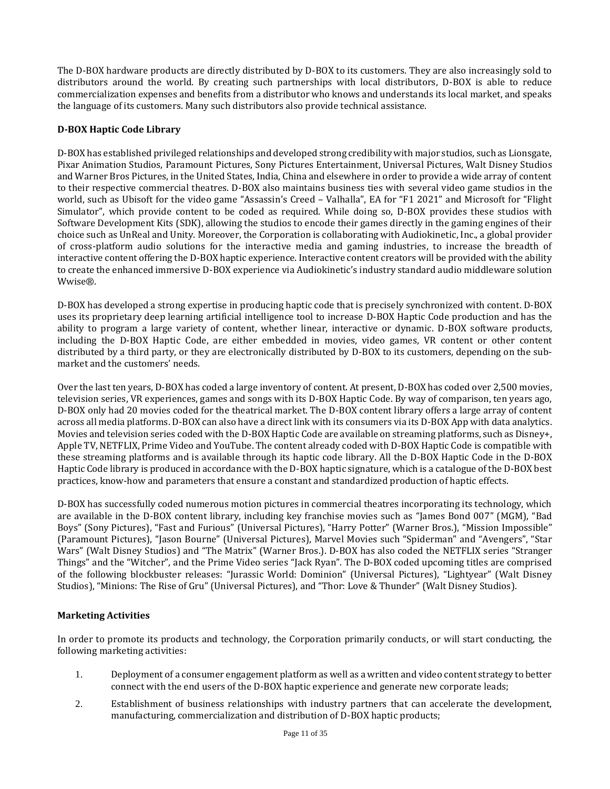The D-BOX hardware products are directly distributed by D-BOX to its customers. They are also increasingly sold to distributors around the world. By creating such partnerships with local distributors, D-BOX is able to reduce commercialization expenses and benefits from a distributor who knows and understands its local market, and speaks the language of its customers. Many such distributors also provide technical assistance.

### **D-BOX Haptic Code Library**

D-BOX has established privileged relationships and developed strong credibility with major studios, such as Lionsgate, Pixar Animation Studios, Paramount Pictures, Sony Pictures Entertainment, Universal Pictures, Walt Disney Studios and Warner Bros Pictures, in the United States, India, China and elsewhere in order to provide a wide array of content to their respective commercial theatres. D-BOX also maintains business ties with several video game studios in the world, such as Ubisoft for the video game "Assassin's Creed – Valhalla", EA for "F1 2021" and Microsoft for "Flight Simulator", which provide content to be coded as required. While doing so, D-BOX provides these studios with Software Development Kits (SDK), allowing the studios to encode their games directly in the gaming engines of their choice such as UnReal and Unity. Moreover, the Corporation is collaborating with Audiokinetic, Inc., a global provider of cross-platform audio solutions for the interactive media and gaming industries, to increase the breadth of interactive content offering the D-BOX haptic experience. Interactive content creators will be provided with the ability to create the enhanced immersive D-BOX experience via Audiokinetic's industry standard audio middleware solution Wwise®.

D-BOX has developed a strong expertise in producing haptic code that is precisely synchronized with content. D-BOX uses its proprietary deep learning artificial intelligence tool to increase D-BOX Haptic Code production and has the ability to program a large variety of content, whether linear, interactive or dynamic. D-BOX software products, including the D-BOX Haptic Code, are either embedded in movies, video games, VR content or other content distributed by a third party, or they are electronically distributed by D-BOX to its customers, depending on the submarket and the customers' needs.

Over the last ten years, D-BOX has coded a large inventory of content. At present, D-BOX has coded over 2,500 movies, television series, VR experiences, games and songs with its D-BOX Haptic Code. By way of comparison, ten years ago, D-BOX only had 20 movies coded for the theatrical market. The D-BOX content library offers a large array of content across all media platforms. D-BOX can also have a direct link with its consumers via its D-BOX App with data analytics. Movies and television series coded with the D-BOX Haptic Code are available on streaming platforms, such as Disney+, Apple TV, NETFLIX, Prime Video and YouTube. The content already coded with D-BOX Haptic Code is compatible with these streaming platforms and is available through its haptic code library. All the D-BOX Haptic Code in the D-BOX Haptic Code library is produced in accordance with the D-BOX haptic signature, which is a catalogue of the D-BOX best practices, know-how and parameters that ensure a constant and standardized production of haptic effects.

D-BOX has successfully coded numerous motion pictures in commercial theatres incorporating its technology, which are available in the D-BOX content library, including key franchise movies such as "James Bond 007" (MGM), "Bad Boys" (Sony Pictures), "Fast and Furious" (Universal Pictures), "Harry Potter" (Warner Bros.), "Mission Impossible" (Paramount Pictures), "Jason Bourne" (Universal Pictures), Marvel Movies such "Spiderman" and "Avengers", "Star Wars" (Walt Disney Studios) and "The Matrix" (Warner Bros.). D-BOX has also coded the NETFLIX series "Stranger Things" and the "Witcher", and the Prime Video series "Jack Ryan". The D-BOX coded upcoming titles are comprised of the following blockbuster releases: "Jurassic World: Dominion" (Universal Pictures), "Lightyear" (Walt Disney Studios), "Minions: The Rise of Gru" (Universal Pictures), and "Thor: Love & Thunder" (Walt Disney Studios).

### **Marketing Activities**

In order to promote its products and technology, the Corporation primarily conducts, or will start conducting, the following marketing activities:

- 1. Deployment of a consumer engagement platform as well as a written and video content strategy to better connect with the end users of the D-BOX haptic experience and generate new corporate leads;
- 2. Establishment of business relationships with industry partners that can accelerate the development, manufacturing, commercialization and distribution of D-BOX haptic products;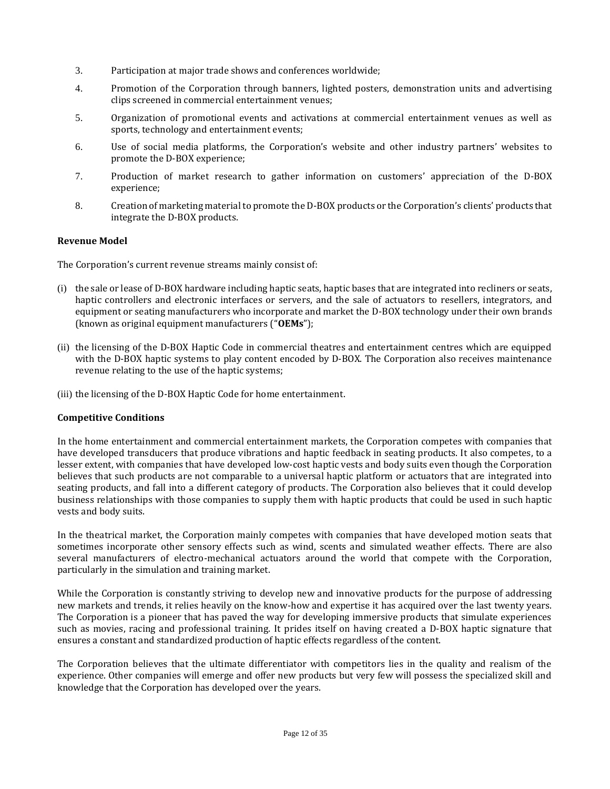- 3. Participation at major trade shows and conferences worldwide;
- 4. Promotion of the Corporation through banners, lighted posters, demonstration units and advertising clips screened in commercial entertainment venues;
- 5. Organization of promotional events and activations at commercial entertainment venues as well as sports, technology and entertainment events;
- 6. Use of social media platforms, the Corporation's website and other industry partners' websites to promote the D-BOX experience;
- 7. Production of market research to gather information on customers' appreciation of the D-BOX experience;
- 8. Creation of marketing material to promote the D-BOX products or the Corporation's clients' products that integrate the D-BOX products.

### **Revenue Model**

The Corporation's current revenue streams mainly consist of:

- (i) the sale or lease of D-BOX hardware including haptic seats, haptic bases that are integrated into recliners or seats, haptic controllers and electronic interfaces or servers, and the sale of actuators to resellers, integrators, and equipment or seating manufacturers who incorporate and market the D-BOX technology under their own brands (known as original equipment manufacturers ("**OEMs**");
- (ii) the licensing of the D‐BOX Haptic Code in commercial theatres and entertainment centres which are equipped with the D-BOX haptic systems to play content encoded by D-BOX. The Corporation also receives maintenance revenue relating to the use of the haptic systems;
- (iii) the licensing of the D-BOX Haptic Code for home entertainment.

### **Competitive Conditions**

In the home entertainment and commercial entertainment markets, the Corporation competes with companies that have developed transducers that produce vibrations and haptic feedback in seating products. It also competes, to a lesser extent, with companies that have developed low-cost haptic vests and body suits even though the Corporation believes that such products are not comparable to a universal haptic platform or actuators that are integrated into seating products, and fall into a different category of products. The Corporation also believes that it could develop business relationships with those companies to supply them with haptic products that could be used in such haptic vests and body suits.

In the theatrical market, the Corporation mainly competes with companies that have developed motion seats that sometimes incorporate other sensory effects such as wind, scents and simulated weather effects. There are also several manufacturers of electro-mechanical actuators around the world that compete with the Corporation, particularly in the simulation and training market.

While the Corporation is constantly striving to develop new and innovative products for the purpose of addressing new markets and trends, it relies heavily on the know-how and expertise it has acquired over the last twenty years. The Corporation is a pioneer that has paved the way for developing immersive products that simulate experiences such as movies, racing and professional training. It prides itself on having created a D-BOX haptic signature that ensures a constant and standardized production of haptic effects regardless of the content.

The Corporation believes that the ultimate differentiator with competitors lies in the quality and realism of the experience. Other companies will emerge and offer new products but very few will possess the specialized skill and knowledge that the Corporation has developed over the years.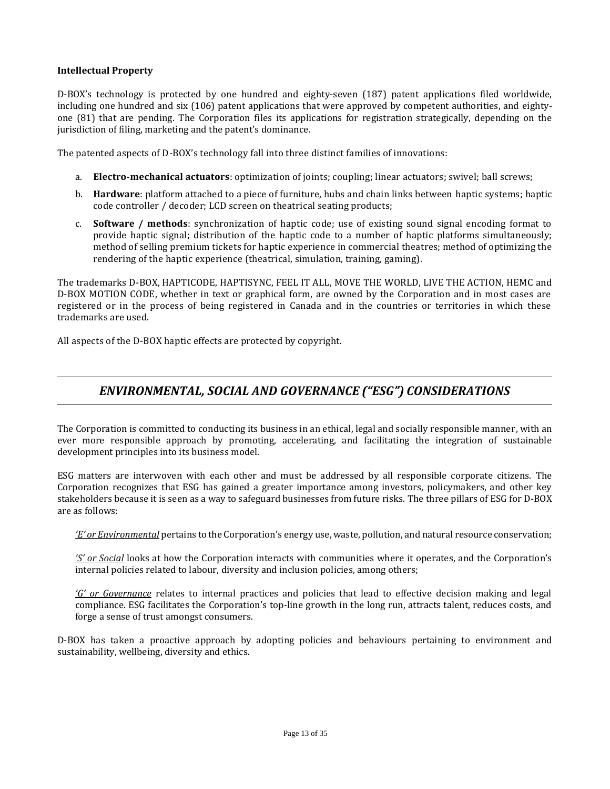### **Intellectual Property**

D-BOX's technology is protected by one hundred and eighty-seven (187) patent applications filed worldwide, including one hundred and six (106) patent applications that were approved by competent authorities, and eightyone (81) that are pending. The Corporation files its applications for registration strategically, depending on the jurisdiction of filing, marketing and the patent's dominance.

The patented aspects of D-BOX's technology fall into three distinct families of innovations:

- a. **Electro-mechanical actuators**: optimization of joints; coupling; linear actuators; swivel; ball screws;
- b. **Hardware**: platform attached to a piece of furniture, hubs and chain links between haptic systems; haptic code controller / decoder; LCD screen on theatrical seating products;
- c. **Software / methods**: synchronization of haptic code; use of existing sound signal encoding format to provide haptic signal; distribution of the haptic code to a number of haptic platforms simultaneously; method of selling premium tickets for haptic experience in commercial theatres; method of optimizing the rendering of the haptic experience (theatrical, simulation, training, gaming).

The trademarks D-BOX, HAPTICODE, HAPTISYNC, FEEL IT ALL, MOVE THE WORLD, LIVE THE ACTION, HEMC and D-BOX MOTION CODE, whether in text or graphical form, are owned by the Corporation and in most cases are registered or in the process of being registered in Canada and in the countries or territories in which these trademarks are used.

All aspects of the D-BOX haptic effects are protected by copyright.

### <span id="page-12-0"></span>*ENVIRONMENTAL, SOCIAL AND GOVERNANCE ("ESG") CONSIDERATIONS*

The Corporation is committed to conducting its business in an ethical, legal and socially responsible manner, with an ever more responsible approach by promoting, accelerating, and facilitating the integration of sustainable development principles into its business model.

ESG matters are interwoven with each other and must be addressed by all responsible corporate citizens. The Corporation recognizes that ESG has gained a greater importance among investors, policymakers, and other key stakeholders because it is seen as a way to safeguard businesses from future risks. The three pillars of ESG for D-BOX are as follows:

*'E' or Environmental* pertains to the Corporation's energy use, waste, pollution, and natural resource conservation;

*'S' or Social* looks at how the Corporation interacts with communities where it operates, and the Corporation's internal policies related to labour, diversity and inclusion policies, among others;

*'G' or Governance* relates to internal practices and policies that lead to effective decision making and legal compliance. ESG facilitates the Corporation's top-line growth in the long run, attracts talent, reduces costs, and forge a sense of trust amongst consumers.

D-BOX has taken a proactive approach by adopting policies and behaviours pertaining to environment and sustainability, wellbeing, diversity and ethics.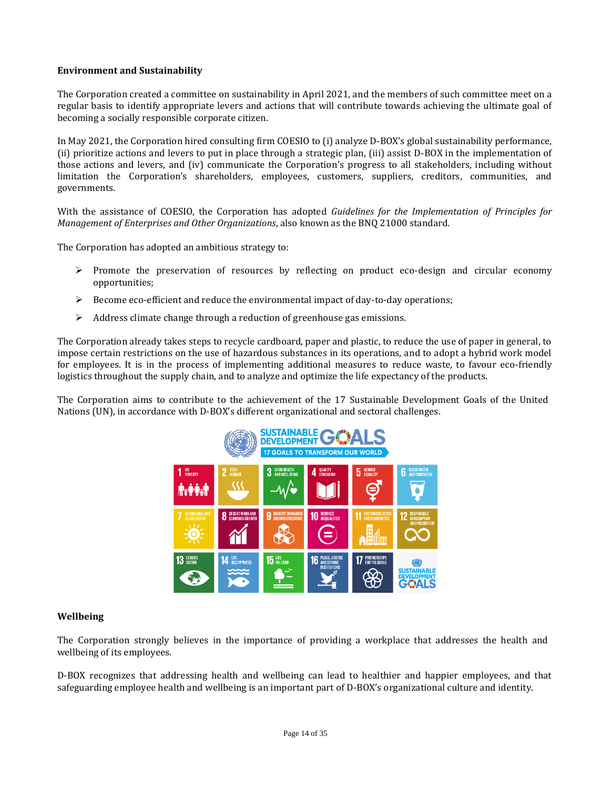### **Environment and Sustainability**

The Corporation created a committee on sustainability in April 2021, and the members of such committee meet on a regular basis to identify appropriate levers and actions that will contribute towards achieving the ultimate goal of becoming a socially responsible corporate citizen.

In May 2021, the Corporation hired consulting firm COESIO to (i) analyze D-BOX's global sustainability performance, (ii) prioritize actions and levers to put in place through a strategic plan, (iii) assist D-BOX in the implementation of those actions and levers, and (iv) communicate the Corporation's progress to all stakeholders, including without limitation the Corporation's shareholders, employees, customers, suppliers, creditors, communities, and governments.

With the assistance of COESIO, the Corporation has adopted *Guidelines for the Implementation of Principles for Management of Enterprises and Other Organizations*, also known as the BNQ 21000 standard.

The Corporation has adopted an ambitious strategy to:

- ➢ Promote the preservation of resources by reflecting on product eco-design and circular economy opportunities;
- $\triangleright$  Become eco-efficient and reduce the environmental impact of day-to-day operations;
- ➢ Address climate change through a reduction of greenhouse gas emissions.

The Corporation already takes steps to recycle cardboard, paper and plastic, to reduce the use of paper in general, to impose certain restrictions on the use of hazardous substances in its operations, and to adopt a hybrid work model for employees. It is in the process of implementing additional measures to reduce waste, to favour eco-friendly logistics throughout the supply chain, and to analyze and optimize the life expectancy of the products.

The Corporation aims to contribute to the achievement of the 17 Sustainable Development Goals of the United Nations (UN), in accordance with D-BOX's different organizational and sectoral challenges.



### **Wellbeing**

The Corporation strongly believes in the importance of providing a workplace that addresses the health and wellbeing of its employees.

D-BOX recognizes that addressing health and wellbeing can lead to healthier and happier employees, and that safeguarding employee health and wellbeing is an important part of D-BOX's organizational culture and identity.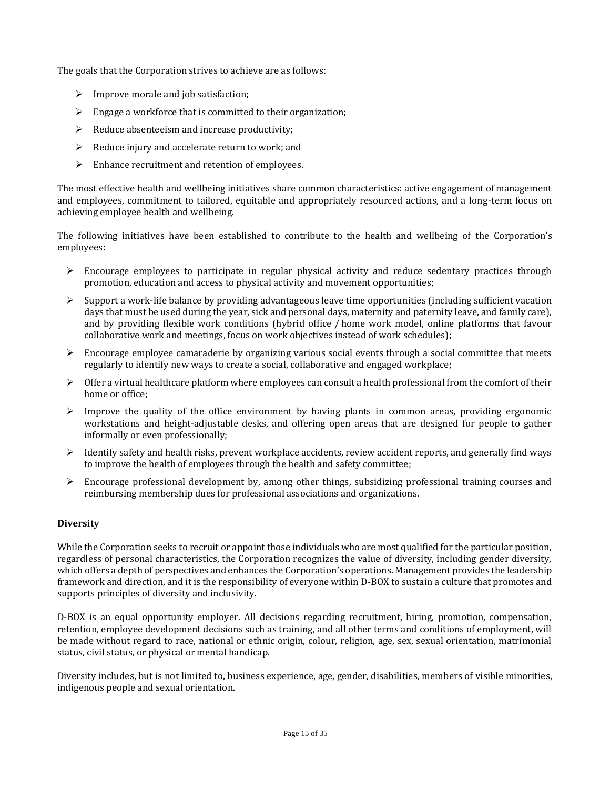The goals that the Corporation strives to achieve are as follows:

- $\triangleright$  Improve morale and job satisfaction;
- $\triangleright$  Engage a workforce that is committed to their organization;
- $\triangleright$  Reduce absenteeism and increase productivity;
- ➢ Reduce injury and accelerate return to work; and
- ➢ Enhance recruitment and retention of employees.

The most effective health and wellbeing initiatives share common characteristics: active engagement of management and employees, commitment to tailored, equitable and appropriately resourced actions, and a long-term focus on achieving employee health and wellbeing.

The following initiatives have been established to contribute to the health and wellbeing of the Corporation's employees:

- $\triangleright$  Encourage employees to participate in regular physical activity and reduce sedentary practices through promotion, education and access to physical activity and movement opportunities;
- $\triangleright$  Support a work-life balance by providing advantageous leave time opportunities (including sufficient vacation days that must be used during the year, sick and personal days, maternity and paternity leave, and family care), and by providing flexible work conditions (hybrid office / home work model, online platforms that favour collaborative work and meetings, focus on work objectives instead of work schedules);
- $\triangleright$  Encourage employee camaraderie by organizing various social events through a social committee that meets regularly to identify new ways to create a social, collaborative and engaged workplace;
- $\triangleright$  Offer a virtual healthcare platform where employees can consult a health professional from the comfort of their home or office;
- $\triangleright$  Improve the quality of the office environment by having plants in common areas, providing ergonomic workstations and height-adjustable desks, and offering open areas that are designed for people to gather informally or even professionally;
- $\triangleright$  Identify safety and health risks, prevent workplace accidents, review accident reports, and generally find ways to improve the health of employees through the health and safety committee;
- ➢ Encourage professional development by, among other things, subsidizing professional training courses and reimbursing membership dues for professional associations and organizations.

### **Diversity**

While the Corporation seeks to recruit or appoint those individuals who are most qualified for the particular position, regardless of personal characteristics, the Corporation recognizes the value of diversity, including gender diversity, which offers a depth of perspectives and enhances the Corporation's operations. Management provides the leadership framework and direction, and it is the responsibility of everyone within D-BOX to sustain a culture that promotes and supports principles of diversity and inclusivity.

D-BOX is an equal opportunity employer. All decisions regarding recruitment, hiring, promotion, compensation, retention, employee development decisions such as training, and all other terms and conditions of employment, will be made without regard to race, national or ethnic origin, colour, religion, age, sex, sexual orientation, matrimonial status, civil status, or physical or mental handicap.

Diversity includes, but is not limited to, business experience, age, gender, disabilities, members of visible minorities, indigenous people and sexual orientation.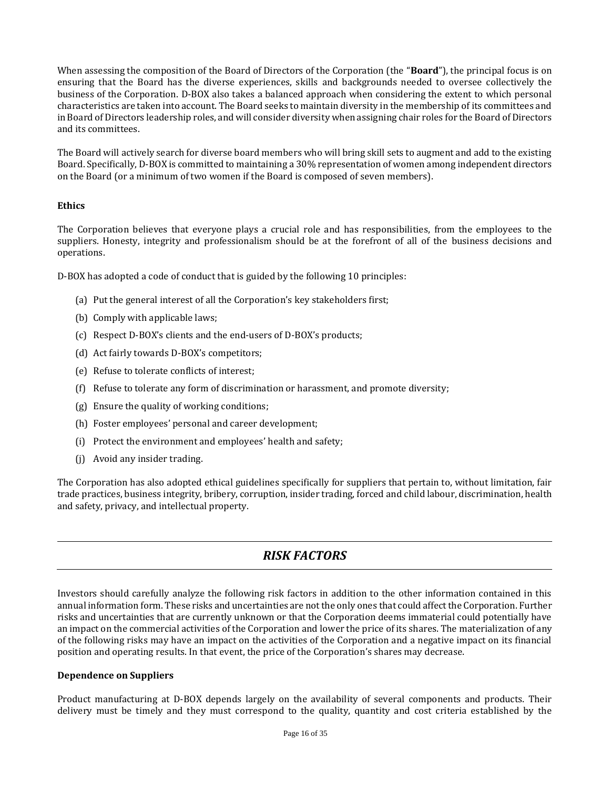When assessing the composition of the Board of Directors of the Corporation (the "**Board**"), the principal focus is on ensuring that the Board has the diverse experiences, skills and backgrounds needed to oversee collectively the business of the Corporation. D-BOX also takes a balanced approach when considering the extent to which personal characteristics are taken into account. The Board seeks to maintain diversity in the membership of its committees and in Board of Directors leadership roles, and will consider diversity when assigning chair roles for the Board of Directors and its committees.

The Board will actively search for diverse board members who will bring skill sets to augment and add to the existing Board. Specifically, D-BOX is committed to maintaining a 30% representation of women among independent directors on the Board (or a minimum of two women if the Board is composed of seven members).

### **Ethics**

The Corporation believes that everyone plays a crucial role and has responsibilities, from the employees to the suppliers. Honesty, integrity and professionalism should be at the forefront of all of the business decisions and operations.

D-BOX has adopted a code of conduct that is guided by the following 10 principles:

- (a) Put the general interest of all the Corporation's key stakeholders first;
- (b) Comply with applicable laws;
- (c) Respect D-BOX's clients and the end-users of D-BOX's products;
- (d) Act fairly towards D-BOX's competitors;
- (e) Refuse to tolerate conflicts of interest;
- (f) Refuse to tolerate any form of discrimination or harassment, and promote diversity;
- (g) Ensure the quality of working conditions;
- (h) Foster employees' personal and career development;
- (i) Protect the environment and employees' health and safety;
- (j) Avoid any insider trading.

The Corporation has also adopted ethical guidelines specifically for suppliers that pertain to, without limitation, fair trade practices, business integrity, bribery, corruption, insider trading, forced and child labour, discrimination, health and safety, privacy, and intellectual property.

## *RISK FACTORS*

<span id="page-15-0"></span>Investors should carefully analyze the following risk factors in addition to the other information contained in this annual information form. These risks and uncertainties are not the only ones that could affect the Corporation. Further risks and uncertainties that are currently unknown or that the Corporation deems immaterial could potentially have an impact on the commercial activities of the Corporation and lower the price of its shares. The materialization of any of the following risks may have an impact on the activities of the Corporation and a negative impact on its financial position and operating results. In that event, the price of the Corporation's shares may decrease.

### **Dependence on Suppliers**

Product manufacturing at D-BOX depends largely on the availability of several components and products. Their delivery must be timely and they must correspond to the quality, quantity and cost criteria established by the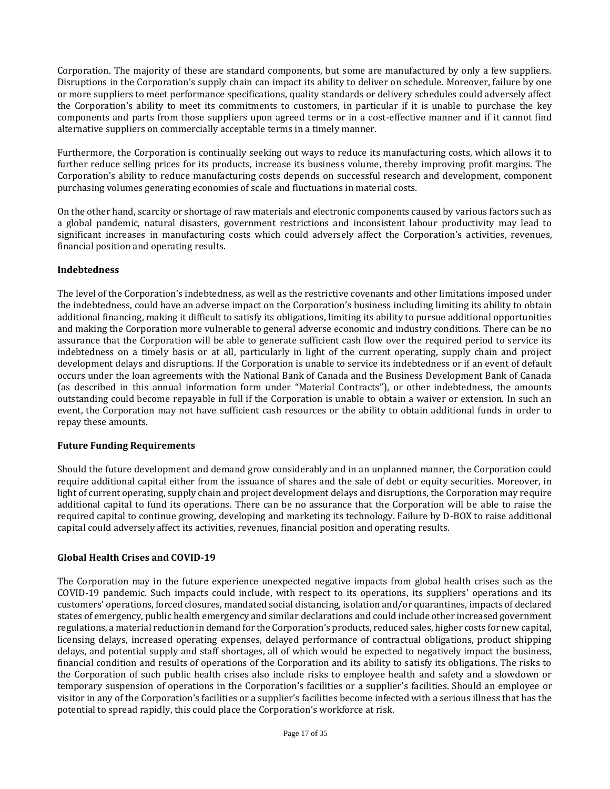Corporation. The majority of these are standard components, but some are manufactured by only a few suppliers. Disruptions in the Corporation's supply chain can impact its ability to deliver on schedule. Moreover, failure by one or more suppliers to meet performance specifications, quality standards or delivery schedules could adversely affect the Corporation's ability to meet its commitments to customers, in particular if it is unable to purchase the key components and parts from those suppliers upon agreed terms or in a cost-effective manner and if it cannot find alternative suppliers on commercially acceptable terms in a timely manner.

Furthermore, the Corporation is continually seeking out ways to reduce its manufacturing costs, which allows it to further reduce selling prices for its products, increase its business volume, thereby improving profit margins. The Corporation's ability to reduce manufacturing costs depends on successful research and development, component purchasing volumes generating economies of scale and fluctuations in material costs.

On the other hand, scarcity or shortage of raw materials and electronic components caused by various factors such as a global pandemic, natural disasters, government restrictions and inconsistent labour productivity may lead to significant increases in manufacturing costs which could adversely affect the Corporation's activities, revenues, financial position and operating results.

### **Indebtedness**

The level of the Corporation's indebtedness, as well as the restrictive covenants and other limitations imposed under the indebtedness, could have an adverse impact on the Corporation's business including limiting its ability to obtain additional financing, making it difficult to satisfy its obligations, limiting its ability to pursue additional opportunities and making the Corporation more vulnerable to general adverse economic and industry conditions. There can be no assurance that the Corporation will be able to generate sufficient cash flow over the required period to service its indebtedness on a timely basis or at all, particularly in light of the current operating, supply chain and project development delays and disruptions. If the Corporation is unable to service its indebtedness or if an event of default occurs under the loan agreements with the National Bank of Canada and the Business Development Bank of Canada (as described in this annual information form under "Material Contracts"), or other indebtedness, the amounts outstanding could become repayable in full if the Corporation is unable to obtain a waiver or extension. In such an event, the Corporation may not have sufficient cash resources or the ability to obtain additional funds in order to repay these amounts.

### **Future Funding Requirements**

Should the future development and demand grow considerably and in an unplanned manner, the Corporation could require additional capital either from the issuance of shares and the sale of debt or equity securities. Moreover, in light of current operating, supply chain and project development delays and disruptions, the Corporation may require additional capital to fund its operations. There can be no assurance that the Corporation will be able to raise the required capital to continue growing, developing and marketing its technology. Failure by D-BOX to raise additional capital could adversely affect its activities, revenues, financial position and operating results.

### **Global Health Crises and COVID-19**

The Corporation may in the future experience unexpected negative impacts from global health crises such as the COVID-19 pandemic. Such impacts could include, with respect to its operations, its suppliers' operations and its customers' operations, forced closures, mandated social distancing, isolation and/or quarantines, impacts of declared states of emergency, public health emergency and similar declarations and could include other increased government regulations, a material reduction in demand for the Corporation's products, reduced sales, higher costs for new capital, licensing delays, increased operating expenses, delayed performance of contractual obligations, product shipping delays, and potential supply and staff shortages, all of which would be expected to negatively impact the business, financial condition and results of operations of the Corporation and its ability to satisfy its obligations. The risks to the Corporation of such public health crises also include risks to employee health and safety and a slowdown or temporary suspension of operations in the Corporation's facilities or a supplier's facilities. Should an employee or visitor in any of the Corporation's facilities or a supplier's facilities become infected with a serious illness that has the potential to spread rapidly, this could place the Corporation's workforce at risk.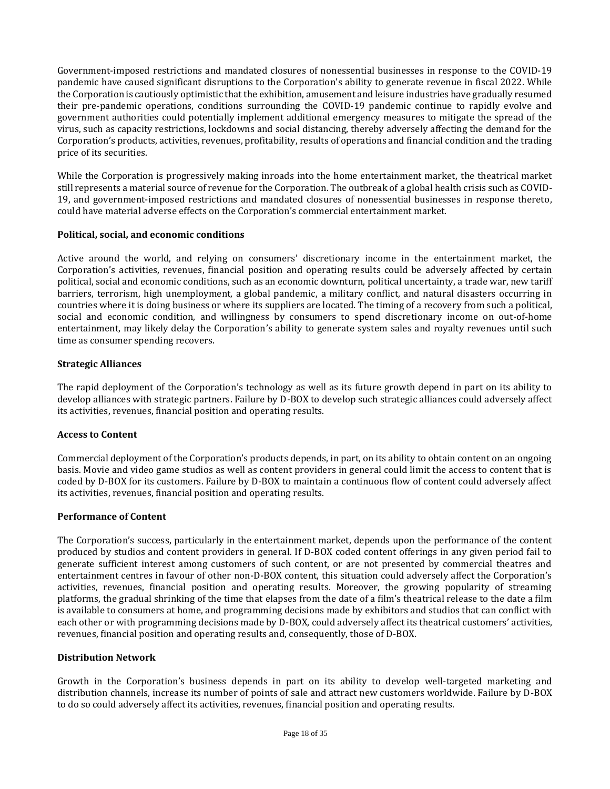Government-imposed restrictions and mandated closures of nonessential businesses in response to the COVID-19 pandemic have caused significant disruptions to the Corporation's ability to generate revenue in fiscal 2022. While the Corporation is cautiously optimistic that the exhibition, amusement and leisure industries have gradually resumed their pre-pandemic operations, conditions surrounding the COVID-19 pandemic continue to rapidly evolve and government authorities could potentially implement additional emergency measures to mitigate the spread of the virus, such as capacity restrictions, lockdowns and social distancing, thereby adversely affecting the demand for the Corporation's products, activities, revenues, profitability, results of operations and financial condition and the trading price of its securities.

While the Corporation is progressively making inroads into the home entertainment market, the theatrical market still represents a material source of revenue for the Corporation. The outbreak of a global health crisis such as COVID-19, and government-imposed restrictions and mandated closures of nonessential businesses in response thereto, could have material adverse effects on the Corporation's commercial entertainment market.

### **Political, social, and economic conditions**

Active around the world, and relying on consumers' discretionary income in the entertainment market, the Corporation's activities, revenues, financial position and operating results could be adversely affected by certain political, social and economic conditions, such as an economic downturn, political uncertainty, a trade war, new tariff barriers, terrorism, high unemployment, a global pandemic, a military conflict, and natural disasters occurring in countries where it is doing business or where its suppliers are located. The timing of a recovery from such a political, social and economic condition, and willingness by consumers to spend discretionary income on out-of-home entertainment, may likely delay the Corporation's ability to generate system sales and royalty revenues until such time as consumer spending recovers.

### **Strategic Alliances**

The rapid deployment of the Corporation's technology as well as its future growth depend in part on its ability to develop alliances with strategic partners. Failure by D-BOX to develop such strategic alliances could adversely affect its activities, revenues, financial position and operating results.

### **Access to Content**

Commercial deployment of the Corporation's products depends, in part, on its ability to obtain content on an ongoing basis. Movie and video game studios as well as content providers in general could limit the access to content that is coded by D-BOX for its customers. Failure by D-BOX to maintain a continuous flow of content could adversely affect its activities, revenues, financial position and operating results.

### **Performance of Content**

The Corporation's success, particularly in the entertainment market, depends upon the performance of the content produced by studios and content providers in general. If D-BOX coded content offerings in any given period fail to generate sufficient interest among customers of such content, or are not presented by commercial theatres and entertainment centres in favour of other non-D-BOX content, this situation could adversely affect the Corporation's activities, revenues, financial position and operating results. Moreover, the growing popularity of streaming platforms, the gradual shrinking of the time that elapses from the date of a film's theatrical release to the date a film is available to consumers at home, and programming decisions made by exhibitors and studios that can conflict with each other or with programming decisions made by D-BOX, could adversely affect its theatrical customers' activities, revenues, financial position and operating results and, consequently, those of D-BOX.

### **Distribution Network**

Growth in the Corporation's business depends in part on its ability to develop well-targeted marketing and distribution channels, increase its number of points of sale and attract new customers worldwide. Failure by D-BOX to do so could adversely affect its activities, revenues, financial position and operating results.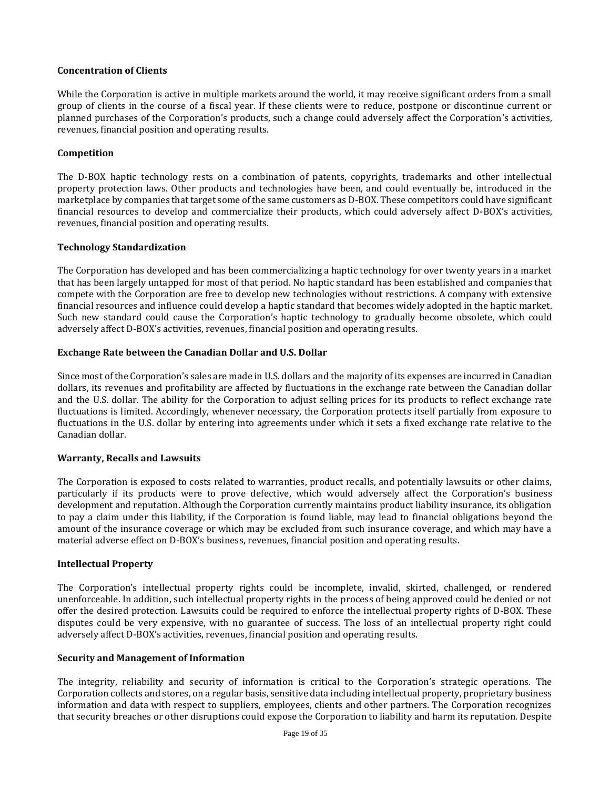### **Concentration of Clients**

While the Corporation is active in multiple markets around the world, it may receive significant orders from a small group of clients in the course of a fiscal year. If these clients were to reduce, postpone or discontinue current or planned purchases of the Corporation's products, such a change could adversely affect the Corporation's activities, revenues, financial position and operating results.

### **Competition**

The D-BOX haptic technology rests on a combination of patents, copyrights, trademarks and other intellectual property protection laws. Other products and technologies have been, and could eventually be, introduced in the marketplace by companies that target some of the same customers as D-BOX. These competitors could have significant financial resources to develop and commercialize their products, which could adversely affect D-BOX's activities, revenues, financial position and operating results.

### **Technology Standardization**

The Corporation has developed and has been commercializing a haptic technology for over twenty years in a market that has been largely untapped for most of that period. No haptic standard has been established and companies that compete with the Corporation are free to develop new technologies without restrictions. A company with extensive financial resources and influence could develop a haptic standard that becomes widely adopted in the haptic market. Such new standard could cause the Corporation's haptic technology to gradually become obsolete, which could adversely affect D-BOX's activities, revenues, financial position and operating results.

### **Exchange Rate between the Canadian Dollar and U.S. Dollar**

Since most of the Corporation's sales are made in U.S. dollars and the majority of its expenses are incurred in Canadian dollars, its revenues and profitability are affected by fluctuations in the exchange rate between the Canadian dollar and the U.S. dollar. The ability for the Corporation to adjust selling prices for its products to reflect exchange rate fluctuations is limited. Accordingly, whenever necessary, the Corporation protects itself partially from exposure to fluctuations in the U.S. dollar by entering into agreements under which it sets a fixed exchange rate relative to the Canadian dollar.

### **Warranty, Recalls and Lawsuits**

The Corporation is exposed to costs related to warranties, product recalls, and potentially lawsuits or other claims, particularly if its products were to prove defective, which would adversely affect the Corporation's business development and reputation. Although the Corporation currently maintains product liability insurance, its obligation to pay a claim under this liability, if the Corporation is found liable, may lead to financial obligations beyond the amount of the insurance coverage or which may be excluded from such insurance coverage, and which may have a material adverse effect on D-BOX's business, revenues, financial position and operating results.

### **Intellectual Property**

The Corporation's intellectual property rights could be incomplete, invalid, skirted, challenged, or rendered unenforceable. In addition, such intellectual property rights in the process of being approved could be denied or not offer the desired protection. Lawsuits could be required to enforce the intellectual property rights of D-BOX. These disputes could be very expensive, with no guarantee of success. The loss of an intellectual property right could adversely affect D-BOX's activities, revenues, financial position and operating results.

### **Security and Management of Information**

The integrity, reliability and security of information is critical to the Corporation's strategic operations. The Corporation collects and stores, on a regular basis, sensitive data including intellectual property, proprietary business information and data with respect to suppliers, employees, clients and other partners. The Corporation recognizes that security breaches or other disruptions could expose the Corporation to liability and harm its reputation. Despite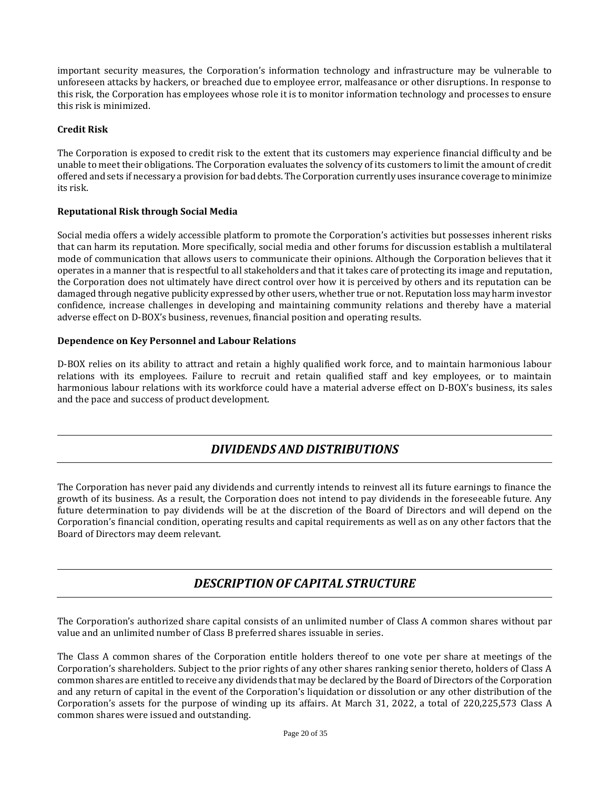important security measures, the Corporation's information technology and infrastructure may be vulnerable to unforeseen attacks by hackers, or breached due to employee error, malfeasance or other disruptions. In response to this risk, the Corporation has employees whose role it is to monitor information technology and processes to ensure this risk is minimized.

### **Credit Risk**

The Corporation is exposed to credit risk to the extent that its customers may experience financial difficulty and be unable to meet their obligations. The Corporation evaluates the solvency of its customers to limit the amount of credit offered and sets if necessary a provision for bad debts. The Corporation currently uses insurance coverage to minimize its risk.

### **Reputational Risk through Social Media**

Social media offers a widely accessible platform to promote the Corporation's activities but possesses inherent risks that can harm its reputation. More specifically, social media and other forums for discussion establish a multilateral mode of communication that allows users to communicate their opinions. Although the Corporation believes that it operates in a manner that is respectful to all stakeholders and that it takes care of protecting its image and reputation, the Corporation does not ultimately have direct control over how it is perceived by others and its reputation can be damaged through negative publicity expressed by other users, whether true or not. Reputation loss may harm investor confidence, increase challenges in developing and maintaining community relations and thereby have a material adverse effect on D-BOX's business, revenues, financial position and operating results.

### **Dependence on Key Personnel and Labour Relations**

D-BOX relies on its ability to attract and retain a highly qualified work force, and to maintain harmonious labour relations with its employees. Failure to recruit and retain qualified staff and key employees, or to maintain harmonious labour relations with its workforce could have a material adverse effect on D-BOX's business, its sales and the pace and success of product development.

### *DIVIDENDS AND DISTRIBUTIONS*

<span id="page-19-0"></span>The Corporation has never paid any dividends and currently intends to reinvest all its future earnings to finance the growth of its business. As a result, the Corporation does not intend to pay dividends in the foreseeable future. Any future determination to pay dividends will be at the discretion of the Board of Directors and will depend on the Corporation's financial condition, operating results and capital requirements as well as on any other factors that the Board of Directors may deem relevant.

## *DESCRIPTION OF CAPITAL STRUCTURE*

<span id="page-19-1"></span>The Corporation's authorized share capital consists of an unlimited number of Class A common shares without par value and an unlimited number of Class B preferred shares issuable in series.

The Class A common shares of the Corporation entitle holders thereof to one vote per share at meetings of the Corporation's shareholders. Subject to the prior rights of any other shares ranking senior thereto, holders of Class A common shares are entitled to receive any dividends that may be declared by the Board of Directors of the Corporation and any return of capital in the event of the Corporation's liquidation or dissolution or any other distribution of the Corporation's assets for the purpose of winding up its affairs. At March 31, 2022, a total of 220,225,573 Class A common shares were issued and outstanding.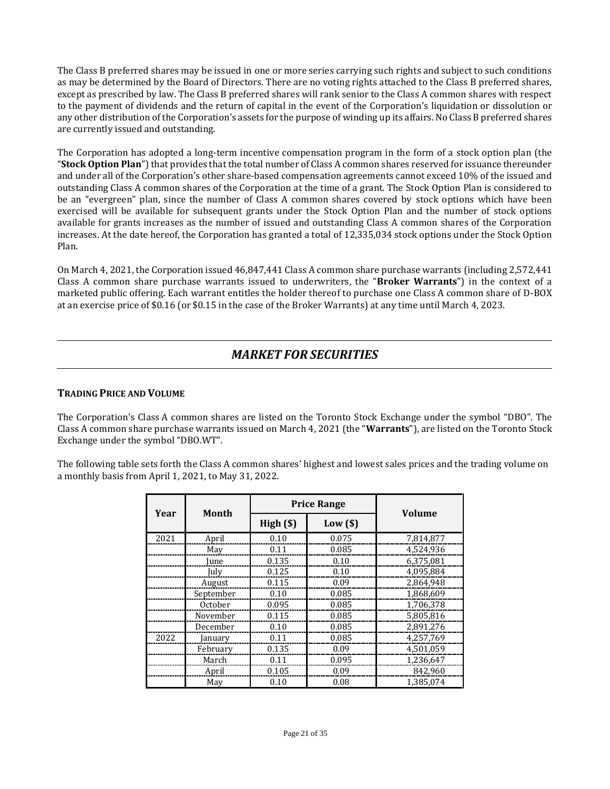The Class B preferred shares may be issued in one or more series carrying such rights and subject to such conditions as may be determined by the Board of Directors. There are no voting rights attached to the Class B preferred shares, except as prescribed by law. The Class B preferred shares will rank senior to the Class A common shares with respect to the payment of dividends and the return of capital in the event of the Corporation's liquidation or dissolution or any other distribution of the Corporation's assets for the purpose of winding up its affairs. No Class B preferred shares are currently issued and outstanding.

The Corporation has adopted a long-term incentive compensation program in the form of a stock option plan (the "**Stock Option Plan**") that provides that the total number of Class A common shares reserved for issuance thereunder and under all of the Corporation's other share-based compensation agreements cannot exceed 10% of the issued and outstanding Class A common shares of the Corporation at the time of a grant. The Stock Option Plan is considered to be an "evergreen" plan, since the number of Class A common shares covered by stock options which have been exercised will be available for subsequent grants under the Stock Option Plan and the number of stock options available for grants increases as the number of issued and outstanding Class A common shares of the Corporation increases. At the date hereof, the Corporation has granted a total of 12,335,034 stock options under the Stock Option Plan.

On March 4, 2021, the Corporation issued 46,847,441 Class A common share purchase warrants (including 2,572,441 Class A common share purchase warrants issued to underwriters, the "**Broker Warrants**") in the context of a marketed public offering. Each warrant entitles the holder thereof to purchase one Class A common share of D-BOX at an exercise price of \$0.16 (or \$0.15 in the case of the Broker Warrants) at any time until March 4, 2023.

### *MARKET FOR SECURITIES*

### <span id="page-20-1"></span><span id="page-20-0"></span>**TRADING PRICE AND VOLUME**

The Corporation's Class A common shares are listed on the Toronto Stock Exchange under the symbol "DBO". The Class A common share purchase warrants issued on March 4, 2021 (the "**Warrants**"), are listed on the Toronto Stock Exchange under the symbol "DBO.WT".

The following table sets forth the Class A common shares' highest and lowest sales prices and the trading volume on a monthly basis from April 1, 2021, to May 31, 2022.

|      | <b>Price Range</b> |          |            |               |  |
|------|--------------------|----------|------------|---------------|--|
| Year | Month              | High(\$) | $Low($ \$) | <b>Volume</b> |  |
| 2021 | April              | 0.10     | 0.075      | 7,814,877     |  |
|      | May                | 0.11     | 0.085      | 4.524.936     |  |
|      | June               | 0.135    | 0.10       | 6,375,081     |  |
|      | July               | 0.125    | 0.10       | 4,095,884     |  |
|      | August             | 0.115    | 0.09       | 2,864,948     |  |
|      | September          | 0.10     | 0.085      | 1,868,609     |  |
|      | October            | 0.095    | 0.085      | 1,706,378     |  |
|      | November           | 0.115    | 0.085      | 5,805,816     |  |
|      | December           | 0.10     | 0.085      | 2,891,276     |  |
| 2022 | January            | 0.11     | 0.085      | 4,257,769     |  |
|      | February           | 0.135    | 0.09       | 4,501,059     |  |
|      | March              | 0.11     | 0.095      | 1,236,647     |  |
|      | April              | 0.105    | 0.09       | 842,960       |  |
|      | May                | 0.10     | 0.08       | 1.385.074     |  |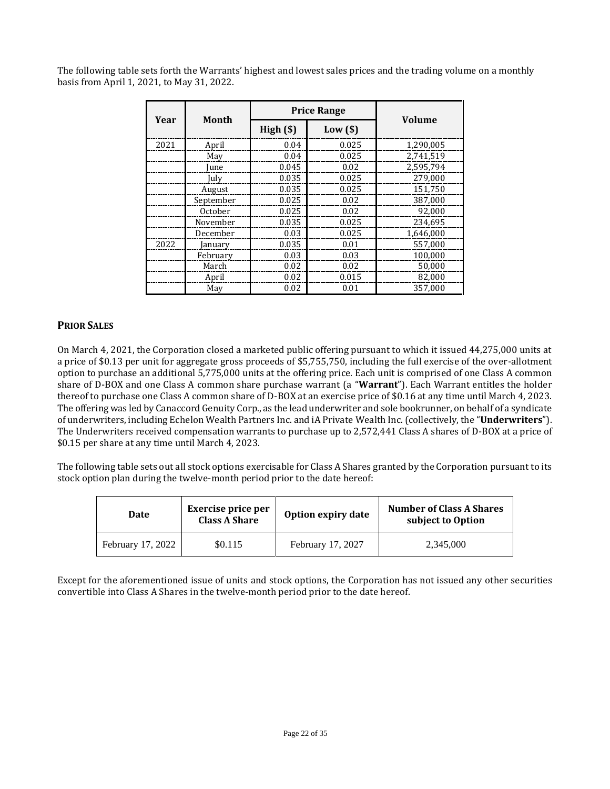The following table sets forth the Warrants' highest and lowest sales prices and the trading volume on a monthly basis from April 1, 2021, to May 31, 2022.

|      |                |          | <b>Price Range</b> |               |  |
|------|----------------|----------|--------------------|---------------|--|
| Year | Month          | High(\$) | $Low($ \$)         | <b>Volume</b> |  |
| 2021 | April          | 0.04     | 0.025              | 1,290,005     |  |
|      | May            | 0.04     | 0.025              | 2.741.519     |  |
|      | June           | 0.045    | 0.02               | 2,595,794     |  |
|      | July           | 0.035    | 0.025              | 279,000       |  |
|      | August         | 0.035    | 0.025              | 151,750       |  |
|      | September      | 0.025    | 0.02               | 387.000       |  |
|      | <b>October</b> | 0.025    | 0.02               | 92,000        |  |
|      | November       | 0.035    | 0.025              | 234.695       |  |
|      | December       | 0.03     | 0.025              | 1,646,000     |  |
| 2022 | January        | 0.035    | 0.01               | 557,000       |  |
|      | February       | 0.03     | 0.03               | 100,000       |  |
|      | March          | 0.02     | 0.02               | 50,000        |  |
|      | April          | 0.02     | 0.015              | 82,000        |  |
|      | May            | 0.02     | 0.01               | 357.000       |  |

### <span id="page-21-0"></span>**PRIOR SALES**

On March 4, 2021, the Corporation closed a marketed public offering pursuant to which it issued 44,275,000 units at a price of \$0.13 per unit for aggregate gross proceeds of \$5,755,750, including the full exercise of the over-allotment option to purchase an additional 5,775,000 units at the offering price. Each unit is comprised of one Class A common share of D-BOX and one Class A common share purchase warrant (a "**Warrant**"). Each Warrant entitles the holder thereof to purchase one Class A common share of D-BOX at an exercise price of \$0.16 at any time until March 4, 2023. The offering was led by Canaccord Genuity Corp., as the lead underwriter and sole bookrunner, on behalf of a syndicate of underwriters, including Echelon Wealth Partners Inc. and iA Private Wealth Inc. (collectively, the "**Underwriters**"). The Underwriters received compensation warrants to purchase up to 2,572,441 Class A shares of D-BOX at a price of \$0.15 per share at any time until March 4, 2023.

The following table sets out all stock options exercisable for Class A Shares granted by the Corporation pursuant to its stock option plan during the twelve-month period prior to the date hereof:

| Date              | <b>Exercise price per</b><br>Class A Share | Option expiry date | <b>Number of Class A Shares</b><br>subject to Option |
|-------------------|--------------------------------------------|--------------------|------------------------------------------------------|
| February 17, 2022 | \$0.115                                    | February 17, 2027  | 2,345,000                                            |

Except for the aforementioned issue of units and stock options, the Corporation has not issued any other securities convertible into Class A Shares in the twelve-month period prior to the date hereof.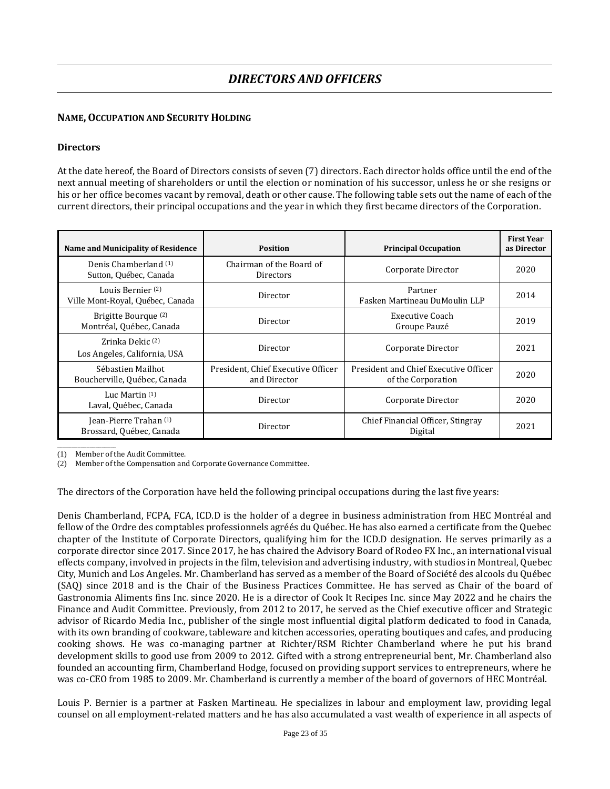### <span id="page-22-1"></span><span id="page-22-0"></span>**NAME,OCCUPATION AND SECURITY HOLDING**

### **Directors**

At the date hereof, the Board of Directors consists of seven (7) directors. Each director holds office until the end of the next annual meeting of shareholders or until the election or nomination of his successor, unless he or she resigns or his or her office becomes vacant by removal, death or other cause. The following table sets out the name of each of the current directors, their principal occupations and the year in which they first became directors of the Corporation.

| Name and Municipality of Residence                               | <b>Position</b>                                    | <b>Principal Occupation</b>                                 | <b>First Year</b><br>as Director |
|------------------------------------------------------------------|----------------------------------------------------|-------------------------------------------------------------|----------------------------------|
| Denis Chamberland (1)<br>Sutton, Québec, Canada                  | Chairman of the Board of<br>Directors              | Corporate Director                                          | 2020                             |
| Louis Bernier <sup>(2)</sup><br>Ville Mont-Royal, Québec, Canada | Director                                           | Partner<br>Fasken Martineau DuMoulin LLP                    | 2014                             |
| Brigitte Bourque <sup>(2)</sup><br>Montréal, Québec, Canada      | Director                                           | Executive Coach<br>Groupe Pauzé                             | 2019                             |
| Zrinka Dekic <sup>(2)</sup><br>Los Angeles, California, USA      | Director                                           | Corporate Director                                          | 2021                             |
| Sébastien Mailhot<br>Boucherville, Québec, Canada                | President, Chief Executive Officer<br>and Director | President and Chief Executive Officer<br>of the Corporation | 2020                             |
| Luc Martin $(1)$<br>Laval, Québec, Canada                        | Director                                           | Corporate Director                                          | 2020                             |
| Jean-Pierre Trahan (1)<br>Brossard, Québec, Canada               | Director                                           | Chief Financial Officer, Stingray<br>Digital                | 2021                             |

 $\overline{\phantom{a}}$ (1) Member of the Audit Committee.

(2) Member of the Compensation and Corporate Governance Committee.

The directors of the Corporation have held the following principal occupations during the last five years:

Denis Chamberland, FCPA, FCA, ICD.D is the holder of a degree in business administration from HEC Montréal and fellow of the Ordre des comptables professionnels agréés du Québec. He has also earned a certificate from the Quebec chapter of the Institute of Corporate Directors, qualifying him for the ICD.D designation. He serves primarily as a corporate director since 2017. Since 2017, he has chaired the Advisory Board of Rodeo FX Inc., an international visual effects company, involved in projects in the film, television and advertising industry, with studios in Montreal, Quebec City, Munich and Los Angeles. Mr. Chamberland has served as a member of the Board of Société des alcools du Québec (SAQ) since 2018 and is the Chair of the Business Practices Committee. He has served as Chair of the board of Gastronomia Aliments fins Inc. since 2020. He is a director of Cook It Recipes Inc. since May 2022 and he chairs the Finance and Audit Committee. Previously, from 2012 to 2017, he served as the Chief executive officer and Strategic advisor of Ricardo Media Inc., publisher of the single most influential digital platform dedicated to food in Canada, with its own branding of cookware, tableware and kitchen accessories, operating boutiques and cafes, and producing cooking shows. He was co-managing partner at Richter/RSM Richter Chamberland where he put his brand development skills to good use from 2009 to 2012. Gifted with a strong entrepreneurial bent, Mr. Chamberland also founded an accounting firm, Chamberland Hodge, focused on providing support services to entrepreneurs, where he was co-CEO from 1985 to 2009. Mr. Chamberland is currently a member of the board of governors of HEC Montréal.

Louis P. Bernier is a partner at Fasken Martineau. He specializes in labour and employment law, providing legal counsel on all employment-related matters and he has also accumulated a vast wealth of experience in all aspects of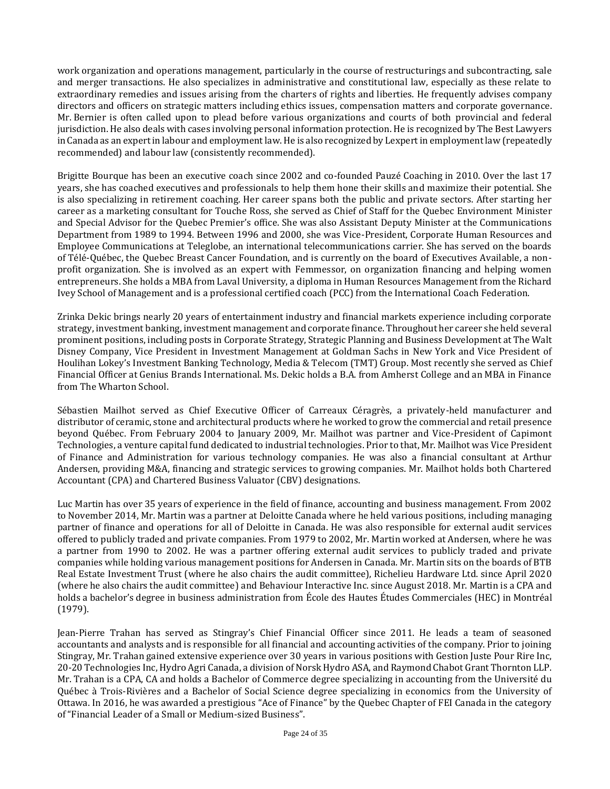work organization and operations management, particularly in the course of restructurings and subcontracting, sale and merger transactions. He also specializes in administrative and constitutional law, especially as these relate to extraordinary remedies and issues arising from the charters of rights and liberties. He frequently advises company directors and officers on strategic matters including ethics issues, compensation matters and corporate governance. Mr. Bernier is often called upon to plead before various organizations and courts of both provincial and federal jurisdiction. He also deals with cases involving personal information protection. He is recognized by The Best Lawyers in Canada as an expert in labour and employment law. He is also recognized by Lexpert in employment law (repeatedly recommended) and labour law (consistently recommended).

Brigitte Bourque has been an executive coach since 2002 and co-founded Pauzé Coaching in 2010. Over the last 17 years, she has coached executives and professionals to help them hone their skills and maximize their potential. She is also specializing in retirement coaching. Her career spans both the public and private sectors. After starting her career as a marketing consultant for Touche Ross, she served as Chief of Staff for the Quebec Environment Minister and Special Advisor for the Quebec Premier's office. She was also Assistant Deputy Minister at the Communications Department from 1989 to 1994. Between 1996 and 2000, she was Vice-President, Corporate Human Resources and Employee Communications at Teleglobe, an international telecommunications carrier. She has served on the boards of Télé-Québec, the Quebec Breast Cancer Foundation, and is currently on the board of Executives Available, a nonprofit organization. She is involved as an expert with Femmessor, on organization financing and helping women entrepreneurs. She holds a MBA from Laval University, a diploma in Human Resources Management from the Richard Ivey School of Management and is a professional certified coach (PCC) from the International Coach Federation.

Zrinka Dekic brings nearly 20 years of entertainment industry and financial markets experience including corporate strategy, investment banking, investment management and corporate finance. Throughout her career she held several prominent positions, including posts in Corporate Strategy, Strategic Planning and Business Development at The Walt Disney Company, Vice President in Investment Management at Goldman Sachs in New York and Vice President of Houlihan Lokey's Investment Banking Technology, Media & Telecom (TMT) Group. Most recently she served as Chief Financial Officer at Genius Brands International. Ms. Dekic holds a B.A. from Amherst College and an MBA in Finance from The Wharton School.

Sébastien Mailhot served as Chief Executive Officer of Carreaux Céragrès, a privately-held manufacturer and distributor of ceramic, stone and architectural products where he worked to grow the commercial and retail presence beyond Québec. From February 2004 to January 2009, Mr. Mailhot was partner and Vice-President of Capimont Technologies, a venture capital fund dedicated to industrial technologies. Prior to that, Mr. Mailhot was Vice President of Finance and Administration for various technology companies. He was also a financial consultant at Arthur Andersen, providing M&A, financing and strategic services to growing companies. Mr. Mailhot holds both Chartered Accountant (CPA) and Chartered Business Valuator (CBV) designations.

Luc Martin has over 35 years of experience in the field of finance, accounting and business management. From 2002 to November 2014, Mr. Martin was a partner at Deloitte Canada where he held various positions, including managing partner of finance and operations for all of Deloitte in Canada. He was also responsible for external audit services offered to publicly traded and private companies. From 1979 to 2002, Mr. Martin worked at Andersen, where he was a partner from 1990 to 2002. He was a partner offering external audit services to publicly traded and private companies while holding various management positions for Andersen in Canada. Mr. Martin sits on the boards of BTB Real Estate Investment Trust (where he also chairs the audit committee), Richelieu Hardware Ltd. since April 2020 (where he also chairs the audit committee) and Behaviour Interactive Inc. since August 2018. Mr. Martin is a CPA and holds a bachelor's degree in business administration from École des Hautes Études Commerciales (HEC) in Montréal (1979).

Jean-Pierre Trahan has served as Stingray's Chief Financial Officer since 2011. He leads a team of seasoned accountants and analysts and is responsible for all financial and accounting activities of the company. Prior to joining Stingray, Mr. Trahan gained extensive experience over 30 years in various positions with Gestion Juste Pour Rire Inc, 20-20 Technologies Inc, Hydro Agri Canada, a division of Norsk Hydro ASA, and Raymond Chabot Grant Thornton LLP. Mr. Trahan is a CPA, CA and holds a Bachelor of Commerce degree specializing in accounting from the Université du Québec à Trois-Rivières and a Bachelor of Social Science degree specializing in economics from the University of Ottawa. In 2016, he was awarded a prestigious "Ace of Finance" by the Quebec Chapter of FEI Canada in the category of "Financial Leader of a Small or Medium-sized Business".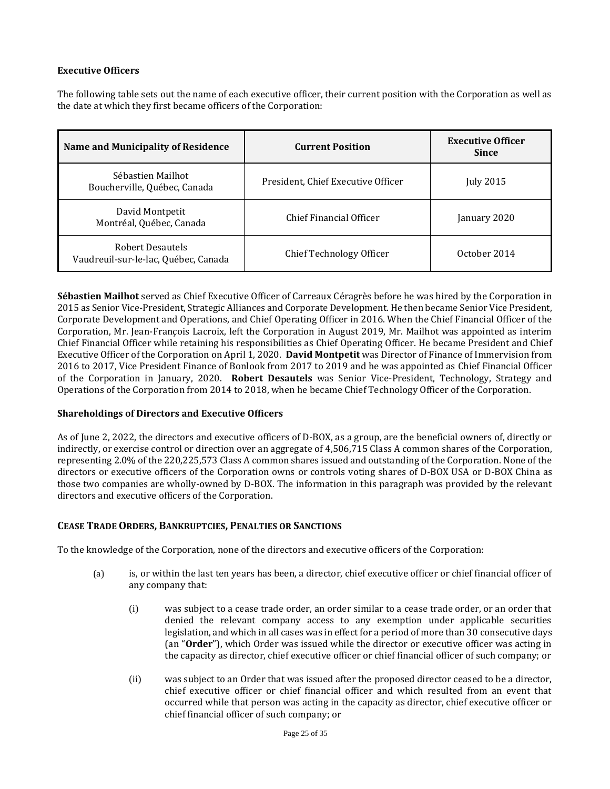### **Executive Officers**

The following table sets out the name of each executive officer, their current position with the Corporation as well as the date at which they first became officers of the Corporation:

| <b>Name and Municipality of Residence</b>                | <b>Current Position</b>            | <b>Executive Officer</b><br><b>Since</b> |
|----------------------------------------------------------|------------------------------------|------------------------------------------|
| Sébastien Mailhot<br>Boucherville, Québec, Canada        | President, Chief Executive Officer | July 2015                                |
| David Montpetit<br>Montréal, Québec, Canada              | Chief Financial Officer            | January 2020                             |
| Robert Desautels<br>Vaudreuil-sur-le-lac, Québec, Canada | Chief Technology Officer           | October 2014                             |

**Sébastien Mailhot** served as Chief Executive Officer of Carreaux Céragrès before he was hired by the Corporation in 2015 as Senior Vice-President, Strategic Alliances and Corporate Development. He then became Senior Vice President, Corporate Development and Operations, and Chief Operating Officer in 2016. When the Chief Financial Officer of the Corporation, Mr. Jean-François Lacroix, left the Corporation in August 2019, Mr. Mailhot was appointed as interim Chief Financial Officer while retaining his responsibilities as Chief Operating Officer. He became President and Chief Executive Officer of the Corporation on April 1, 2020. **David Montpetit** was Director of Finance of Immervision from 2016 to 2017, Vice President Finance of Bonlook from 2017 to 2019 and he was appointed as Chief Financial Officer of the Corporation in January, 2020. **Robert Desautels** was Senior Vice-President, Technology, Strategy and Operations of the Corporation from 2014 to 2018, when he became Chief Technology Officer of the Corporation.

### **Shareholdings of Directors and Executive Officers**

As of June 2, 2022, the directors and executive officers of D-BOX, as a group, are the beneficial owners of, directly or indirectly, or exercise control or direction over an aggregate of 4,506,715 Class A common shares of the Corporation, representing 2.0% of the 220,225,573 Class A common shares issued and outstanding of the Corporation. None of the directors or executive officers of the Corporation owns or controls voting shares of D-BOX USA or D-BOX China as those two companies are wholly-owned by D-BOX. The information in this paragraph was provided by the relevant directors and executive officers of the Corporation.

### <span id="page-24-0"></span>**CEASE TRADE ORDERS, BANKRUPTCIES, PENALTIES OR SANCTIONS**

To the knowledge of the Corporation, none of the directors and executive officers of the Corporation:

- (a) is, or within the last ten years has been, a director, chief executive officer or chief financial officer of any company that:
	- (i) was subject to a cease trade order, an order similar to a cease trade order, or an order that denied the relevant company access to any exemption under applicable securities legislation, and which in all cases was in effect for a period of more than 30 consecutive days (an "**Order**"), which Order was issued while the director or executive officer was acting in the capacity as director, chief executive officer or chief financial officer of such company; or
	- (ii) was subject to an Order that was issued after the proposed director ceased to be a director, chief executive officer or chief financial officer and which resulted from an event that occurred while that person was acting in the capacity as director, chief executive officer or chief financial officer of such company; or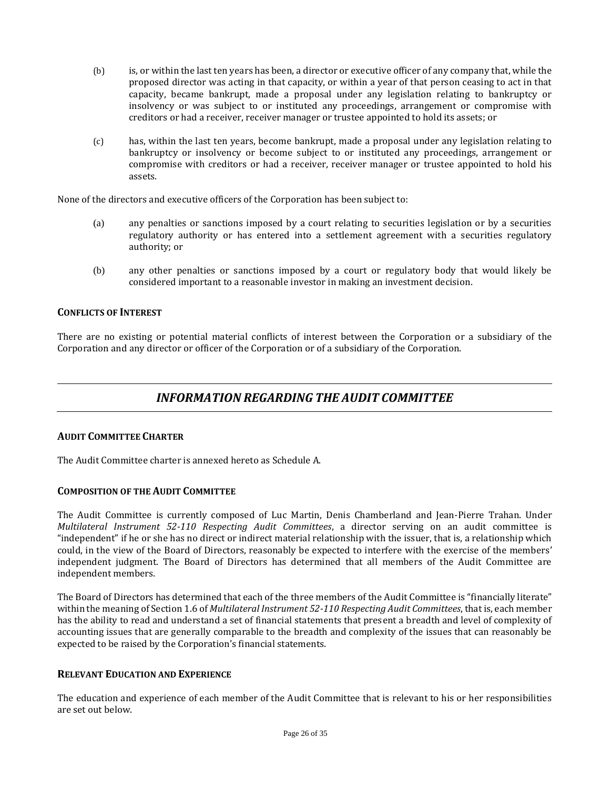- (b) is, or within the last ten years has been, a director or executive officer of any company that, while the proposed director was acting in that capacity, or within a year of that person ceasing to act in that capacity, became bankrupt, made a proposal under any legislation relating to bankruptcy or insolvency or was subject to or instituted any proceedings, arrangement or compromise with creditors or had a receiver, receiver manager or trustee appointed to hold its assets; or
- (c) has, within the last ten years, become bankrupt, made a proposal under any legislation relating to bankruptcy or insolvency or become subject to or instituted any proceedings, arrangement or compromise with creditors or had a receiver, receiver manager or trustee appointed to hold his assets.

None of the directors and executive officers of the Corporation has been subject to:

- (a) any penalties or sanctions imposed by a court relating to securities legislation or by a securities regulatory authority or has entered into a settlement agreement with a securities regulatory authority; or
- (b) any other penalties or sanctions imposed by a court or regulatory body that would likely be considered important to a reasonable investor in making an investment decision.

### <span id="page-25-0"></span>**CONFLICTS OF INTEREST**

There are no existing or potential material conflicts of interest between the Corporation or a subsidiary of the Corporation and any director or officer of the Corporation or of a subsidiary of the Corporation.

### *INFORMATION REGARDING THE AUDIT COMMITTEE*

### <span id="page-25-2"></span><span id="page-25-1"></span>**AUDIT COMMITTEE CHARTER**

The Audit Committee charter is annexed hereto as Schedule A.

### <span id="page-25-3"></span>**COMPOSITION OF THE AUDIT COMMITTEE**

The Audit Committee is currently composed of Luc Martin, Denis Chamberland and Jean-Pierre Trahan. Under *Multilateral Instrument 52-110 Respecting Audit Committees*, a director serving on an audit committee is "independent" if he or she has no direct or indirect material relationship with the issuer, that is, a relationship which could, in the view of the Board of Directors, reasonably be expected to interfere with the exercise of the members' independent judgment. The Board of Directors has determined that all members of the Audit Committee are independent members.

The Board of Directors has determined that each of the three members of the Audit Committee is "financially literate" within the meaning of Section 1.6 of *Multilateral Instrument 52-110 Respecting Audit Committees*, that is, each member has the ability to read and understand a set of financial statements that present a breadth and level of complexity of accounting issues that are generally comparable to the breadth and complexity of the issues that can reasonably be expected to be raised by the Corporation's financial statements.

### <span id="page-25-4"></span>**RELEVANT EDUCATION AND EXPERIENCE**

The education and experience of each member of the Audit Committee that is relevant to his or her responsibilities are set out below.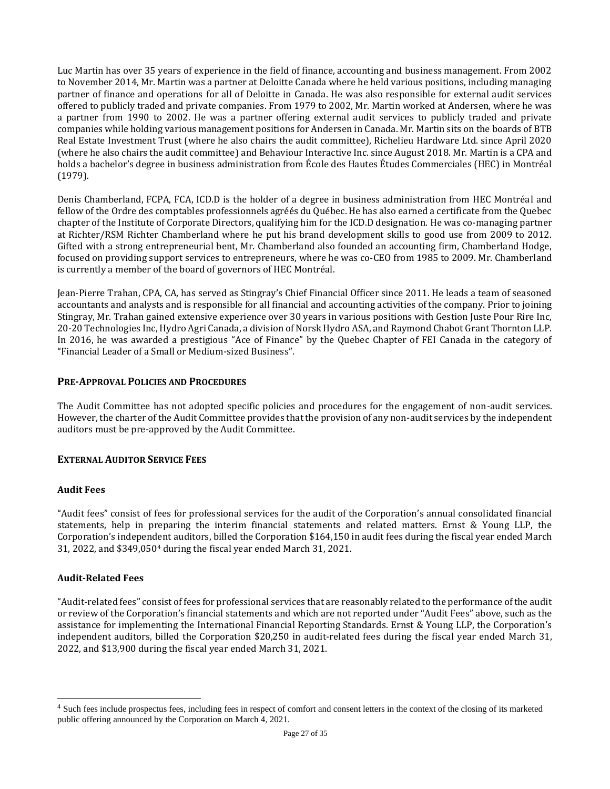Luc Martin has over 35 years of experience in the field of finance, accounting and business management. From 2002 to November 2014, Mr. Martin was a partner at Deloitte Canada where he held various positions, including managing partner of finance and operations for all of Deloitte in Canada. He was also responsible for external audit services offered to publicly traded and private companies. From 1979 to 2002, Mr. Martin worked at Andersen, where he was a partner from 1990 to 2002. He was a partner offering external audit services to publicly traded and private companies while holding various management positions for Andersen in Canada. Mr. Martin sits on the boards of BTB Real Estate Investment Trust (where he also chairs the audit committee), Richelieu Hardware Ltd. since April 2020 (where he also chairs the audit committee) and Behaviour Interactive Inc. since August 2018. Mr. Martin is a CPA and holds a bachelor's degree in business administration from École des Hautes Études Commerciales (HEC) in Montréal (1979).

Denis Chamberland, FCPA, FCA, ICD.D is the holder of a degree in business administration from HEC Montréal and fellow of the Ordre des comptables professionnels agréés du Québec. He has also earned a certificate from the Quebec chapter of the Institute of Corporate Directors, qualifying him for the ICD.D designation. He was co-managing partner at Richter/RSM Richter Chamberland where he put his brand development skills to good use from 2009 to 2012. Gifted with a strong entrepreneurial bent, Mr. Chamberland also founded an accounting firm, Chamberland Hodge, focused on providing support services to entrepreneurs, where he was co-CEO from 1985 to 2009. Mr. Chamberland is currently a member of the board of governors of HEC Montréal.

Jean-Pierre Trahan, CPA, CA, has served as Stingray's Chief Financial Officer since 2011. He leads a team of seasoned accountants and analysts and is responsible for all financial and accounting activities of the company. Prior to joining Stingray, Mr. Trahan gained extensive experience over 30 years in various positions with Gestion Juste Pour Rire Inc, 20-20 Technologies Inc, Hydro Agri Canada, a division of Norsk Hydro ASA, and Raymond Chabot Grant Thornton LLP. In 2016, he was awarded a prestigious "Ace of Finance" by the Quebec Chapter of FEI Canada in the category of "Financial Leader of a Small or Medium-sized Business".

### <span id="page-26-0"></span>**PRE-APPROVAL POLICIES AND PROCEDURES**

The Audit Committee has not adopted specific policies and procedures for the engagement of non-audit services. However, the charter of the Audit Committee provides that the provision of any non-audit services by the independent auditors must be pre-approved by the Audit Committee.

### <span id="page-26-1"></span>**EXTERNAL AUDITOR SERVICE FEES**

### **Audit Fees**

"Audit fees" consist of fees for professional services for the audit of the Corporation's annual consolidated financial statements, help in preparing the interim financial statements and related matters. Ernst & Young LLP, the Corporation's independent auditors, billed the Corporation \$164,150 in audit fees during the fiscal year ended March 31, 2022, and \$349,050<sup>4</sup> during the fiscal year ended March 31, 2021.

### **Audit-Related Fees**

"Audit-related fees" consist of fees for professional services that are reasonably related to the performance of the audit or review of the Corporation's financial statements and which are not reported under "Audit Fees" above, such as the assistance for implementing the International Financial Reporting Standards. Ernst & Young LLP, the Corporation's independent auditors, billed the Corporation \$20,250 in audit-related fees during the fiscal year ended March 31, 2022, and \$13,900 during the fiscal year ended March 31, 2021.

<sup>&</sup>lt;sup>4</sup> Such fees include prospectus fees, including fees in respect of comfort and consent letters in the context of the closing of its marketed public offering announced by the Corporation on March 4, 2021.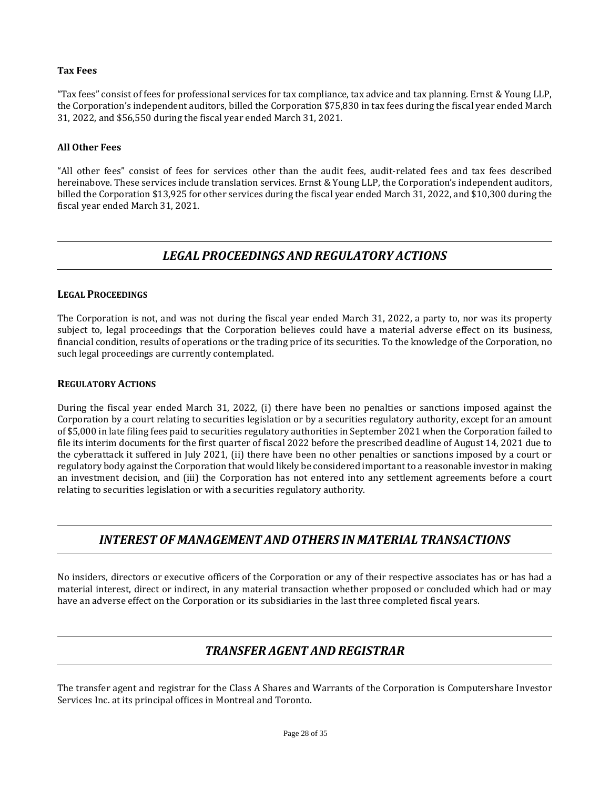### **Tax Fees**

"Tax fees" consist of fees for professional services for tax compliance, tax advice and tax planning. Ernst & Young LLP, the Corporation's independent auditors, billed the Corporation \$75,830 in tax fees during the fiscal year ended March 31, 2022, and \$56,550 during the fiscal year ended March 31, 2021.

### **All Other Fees**

"All other fees" consist of fees for services other than the audit fees, audit-related fees and tax fees described hereinabove. These services include translation services. Ernst & Young LLP, the Corporation's independent auditors, billed the Corporation \$13,925 for other services during the fiscal year ended March 31, 2022, and \$10,300 during the fiscal year ended March 31, 2021.

### *LEGAL PROCEEDINGS AND REGULATORY ACTIONS*

### <span id="page-27-1"></span><span id="page-27-0"></span>**LEGAL PROCEEDINGS**

The Corporation is not, and was not during the fiscal year ended March 31, 2022, a party to, nor was its property subject to, legal proceedings that the Corporation believes could have a material adverse effect on its business, financial condition, results of operations or the trading price of its securities. To the knowledge of the Corporation, no such legal proceedings are currently contemplated.

### <span id="page-27-2"></span>**REGULATORY ACTIONS**

During the fiscal year ended March 31, 2022, (i) there have been no penalties or sanctions imposed against the Corporation by a court relating to securities legislation or by a securities regulatory authority, except for an amount of \$5,000 in late filing fees paid to securities regulatory authorities in September 2021 when the Corporation failed to file its interim documents for the first quarter of fiscal 2022 before the prescribed deadline of August 14, 2021 due to the cyberattack it suffered in July 2021, (ii) there have been no other penalties or sanctions imposed by a court or regulatory body against the Corporation that would likely be considered important to a reasonable investor in making an investment decision, and (iii) the Corporation has not entered into any settlement agreements before a court relating to securities legislation or with a securities regulatory authority.

### <span id="page-27-3"></span>*INTEREST OF MANAGEMENT AND OTHERS IN MATERIAL TRANSACTIONS*

No insiders, directors or executive officers of the Corporation or any of their respective associates has or has had a material interest, direct or indirect, in any material transaction whether proposed or concluded which had or may have an adverse effect on the Corporation or its subsidiaries in the last three completed fiscal years.

## *TRANSFER AGENT AND REGISTRAR*

<span id="page-27-4"></span>The transfer agent and registrar for the Class A Shares and Warrants of the Corporation is Computershare Investor Services Inc. at its principal offices in Montreal and Toronto.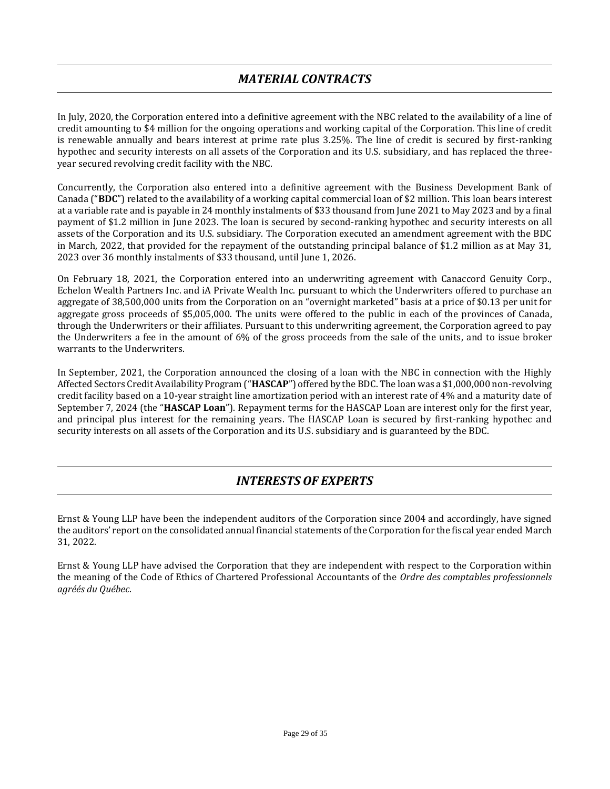## *MATERIAL CONTRACTS*

<span id="page-28-0"></span>In July, 2020, the Corporation entered into a definitive agreement with the NBC related to the availability of a line of credit amounting to \$4 million for the ongoing operations and working capital of the Corporation. This line of credit is renewable annually and bears interest at prime rate plus 3.25%. The line of credit is secured by first-ranking hypothec and security interests on all assets of the Corporation and its U.S. subsidiary, and has replaced the threeyear secured revolving credit facility with the NBC.

Concurrently, the Corporation also entered into a definitive agreement with the Business Development Bank of Canada ("**BDC**") related to the availability of a working capital commercial loan of \$2 million. This loan bears interest at a variable rate and is payable in 24 monthly instalments of \$33 thousand from June 2021 to May 2023 and by a final payment of \$1.2 million in June 2023. The loan is secured by second-ranking hypothec and security interests on all assets of the Corporation and its U.S. subsidiary. The Corporation executed an amendment agreement with the BDC in March, 2022, that provided for the repayment of the outstanding principal balance of \$1.2 million as at May 31, 2023 over 36 monthly instalments of \$33 thousand, until June 1, 2026.

On February 18, 2021, the Corporation entered into an underwriting agreement with Canaccord Genuity Corp., Echelon Wealth Partners Inc. and iA Private Wealth Inc. pursuant to which the Underwriters offered to purchase an aggregate of 38,500,000 units from the Corporation on an "overnight marketed" basis at a price of \$0.13 per unit for aggregate gross proceeds of \$5,005,000. The units were offered to the public in each of the provinces of Canada, through the Underwriters or their affiliates. Pursuant to this underwriting agreement, the Corporation agreed to pay the Underwriters a fee in the amount of 6% of the gross proceeds from the sale of the units, and to issue broker warrants to the Underwriters.

In September, 2021, the Corporation announced the closing of a loan with the NBC in connection with the Highly Affected Sectors Credit Availability Program ("**HASCAP**") offered by the BDC. The loan was a \$1,000,000 non-revolving credit facility based on a 10-year straight line amortization period with an interest rate of 4% and a maturity date of September 7, 2024 (the "**HASCAP Loan**"). Repayment terms for the HASCAP Loan are interest only for the first year, and principal plus interest for the remaining years. The HASCAP Loan is secured by first-ranking hypothec and security interests on all assets of the Corporation and its U.S. subsidiary and is guaranteed by the BDC.

## *INTERESTS OF EXPERTS*

<span id="page-28-1"></span>Ernst & Young LLP have been the independent auditors of the Corporation since 2004 and accordingly, have signed the auditors' report on the consolidated annual financial statements of the Corporation for the fiscal year ended March 31, 2022.

Ernst & Young LLP have advised the Corporation that they are independent with respect to the Corporation within the meaning of the Code of Ethics of Chartered Professional Accountants of the *Ordre des comptables professionnels agréés du Québec*.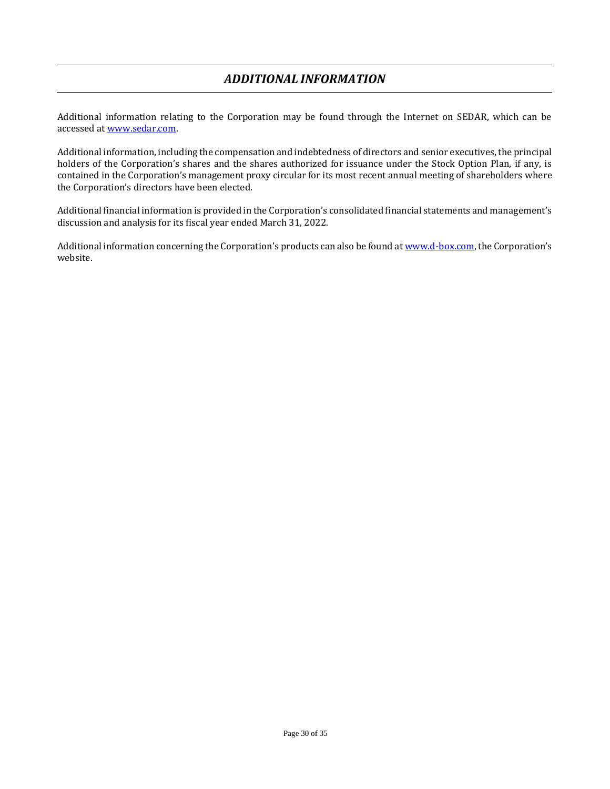## *ADDITIONAL INFORMATION*

<span id="page-29-0"></span>Additional information relating to the Corporation may be found through the Internet on SEDAR, which can be accessed at [www.sedar.com.](http://www.sedar.com/)

Additional information, including the compensation and indebtedness of directors and senior executives, the principal holders of the Corporation's shares and the shares authorized for issuance under the Stock Option Plan, if any, is contained in the Corporation's management proxy circular for its most recent annual meeting of shareholders where the Corporation's directors have been elected.

Additional financial information is provided in the Corporation's consolidated financial statements and management's discussion and analysis for its fiscal year ended March 31, 2022.

Additional information concerning the Corporation's products can also be found a[t www.d-box.com,](http://www.d-box.com/) the Corporation's website.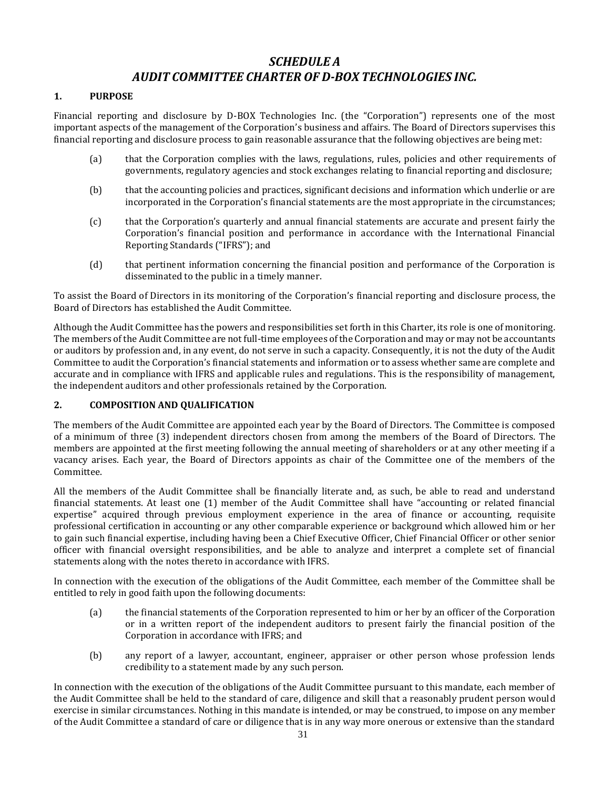## *SCHEDULE A AUDIT COMMITTEE CHARTER OF D-BOX TECHNOLOGIES INC.*

### <span id="page-30-0"></span>**1. PURPOSE**

Financial reporting and disclosure by D-BOX Technologies Inc. (the "Corporation") represents one of the most important aspects of the management of the Corporation's business and affairs. The Board of Directors supervises this financial reporting and disclosure process to gain reasonable assurance that the following objectives are being met:

- (a) that the Corporation complies with the laws, regulations, rules, policies and other requirements of governments, regulatory agencies and stock exchanges relating to financial reporting and disclosure;
- (b) that the accounting policies and practices, significant decisions and information which underlie or are incorporated in the Corporation's financial statements are the most appropriate in the circumstances;
- (c) that the Corporation's quarterly and annual financial statements are accurate and present fairly the Corporation's financial position and performance in accordance with the International Financial Reporting Standards ("IFRS"); and
- (d) that pertinent information concerning the financial position and performance of the Corporation is disseminated to the public in a timely manner.

To assist the Board of Directors in its monitoring of the Corporation's financial reporting and disclosure process, the Board of Directors has established the Audit Committee.

Although the Audit Committee has the powers and responsibilities set forth in this Charter, its role is one of monitoring. The members of the Audit Committee are not full-time employees of the Corporation and may or may not be accountants or auditors by profession and, in any event, do not serve in such a capacity. Consequently, it is not the duty of the Audit Committee to audit the Corporation's financial statements and information or to assess whether same are complete and accurate and in compliance with IFRS and applicable rules and regulations. This is the responsibility of management, the independent auditors and other professionals retained by the Corporation.

### **2. COMPOSITION AND QUALIFICATION**

The members of the Audit Committee are appointed each year by the Board of Directors. The Committee is composed of a minimum of three (3) independent directors chosen from among the members of the Board of Directors. The members are appointed at the first meeting following the annual meeting of shareholders or at any other meeting if a vacancy arises. Each year, the Board of Directors appoints as chair of the Committee one of the members of the Committee.

All the members of the Audit Committee shall be financially literate and, as such, be able to read and understand financial statements. At least one (1) member of the Audit Committee shall have "accounting or related financial expertise" acquired through previous employment experience in the area of finance or accounting, requisite professional certification in accounting or any other comparable experience or background which allowed him or her to gain such financial expertise, including having been a Chief Executive Officer, Chief Financial Officer or other senior officer with financial oversight responsibilities, and be able to analyze and interpret a complete set of financial statements along with the notes thereto in accordance with IFRS.

In connection with the execution of the obligations of the Audit Committee, each member of the Committee shall be entitled to rely in good faith upon the following documents:

- (a) the financial statements of the Corporation represented to him or her by an officer of the Corporation or in a written report of the independent auditors to present fairly the financial position of the Corporation in accordance with IFRS; and
- (b) any report of a lawyer, accountant, engineer, appraiser or other person whose profession lends credibility to a statement made by any such person.

In connection with the execution of the obligations of the Audit Committee pursuant to this mandate, each member of the Audit Committee shall be held to the standard of care, diligence and skill that a reasonably prudent person would exercise in similar circumstances. Nothing in this mandate is intended, or may be construed, to impose on any member of the Audit Committee a standard of care or diligence that is in any way more onerous or extensive than the standard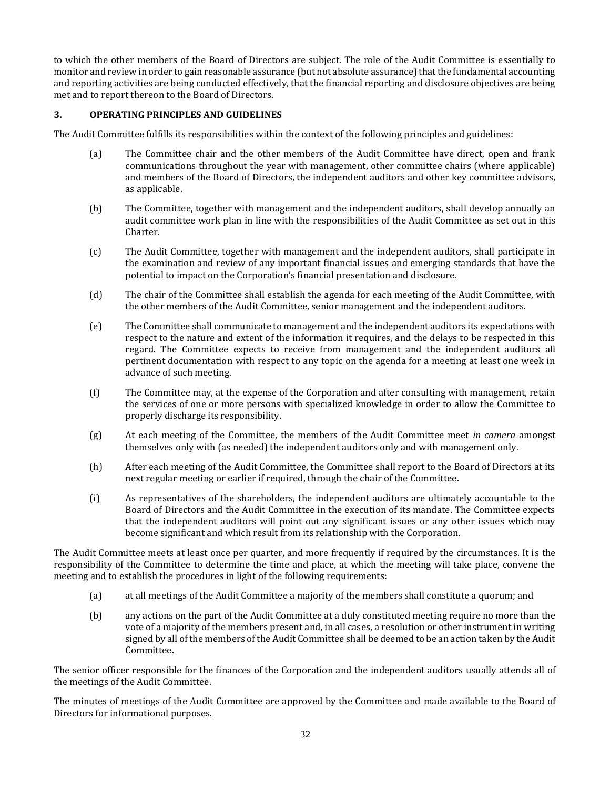to which the other members of the Board of Directors are subject. The role of the Audit Committee is essentially to monitor and review in order to gain reasonable assurance (but not absolute assurance) that the fundamental accounting and reporting activities are being conducted effectively, that the financial reporting and disclosure objectives are being met and to report thereon to the Board of Directors.

### **3. OPERATING PRINCIPLES AND GUIDELINES**

The Audit Committee fulfills its responsibilities within the context of the following principles and guidelines:

- (a) The Committee chair and the other members of the Audit Committee have direct, open and frank communications throughout the year with management, other committee chairs (where applicable) and members of the Board of Directors, the independent auditors and other key committee advisors, as applicable.
- (b) The Committee, together with management and the independent auditors, shall develop annually an audit committee work plan in line with the responsibilities of the Audit Committee as set out in this Charter.
- (c) The Audit Committee, together with management and the independent auditors, shall participate in the examination and review of any important financial issues and emerging standards that have the potential to impact on the Corporation's financial presentation and disclosure.
- (d) The chair of the Committee shall establish the agenda for each meeting of the Audit Committee, with the other members of the Audit Committee, senior management and the independent auditors.
- (e) The Committee shall communicate to management and the independent auditors its expectations with respect to the nature and extent of the information it requires, and the delays to be respected in this regard. The Committee expects to receive from management and the independent auditors all pertinent documentation with respect to any topic on the agenda for a meeting at least one week in advance of such meeting.
- (f) The Committee may, at the expense of the Corporation and after consulting with management, retain the services of one or more persons with specialized knowledge in order to allow the Committee to properly discharge its responsibility.
- (g) At each meeting of the Committee, the members of the Audit Committee meet *in camera* amongst themselves only with (as needed) the independent auditors only and with management only.
- (h) After each meeting of the Audit Committee, the Committee shall report to the Board of Directors at its next regular meeting or earlier if required, through the chair of the Committee.
- (i) As representatives of the shareholders, the independent auditors are ultimately accountable to the Board of Directors and the Audit Committee in the execution of its mandate. The Committee expects that the independent auditors will point out any significant issues or any other issues which may become significant and which result from its relationship with the Corporation.

The Audit Committee meets at least once per quarter, and more frequently if required by the circumstances. It is the responsibility of the Committee to determine the time and place, at which the meeting will take place, convene the meeting and to establish the procedures in light of the following requirements:

- (a) at all meetings of the Audit Committee a majority of the members shall constitute a quorum; and
- (b) any actions on the part of the Audit Committee at a duly constituted meeting require no more than the vote of a majority of the members present and, in all cases, a resolution or other instrument in writing signed by all of the members of the Audit Committee shall be deemed to be an action taken by the Audit Committee.

The senior officer responsible for the finances of the Corporation and the independent auditors usually attends all of the meetings of the Audit Committee.

The minutes of meetings of the Audit Committee are approved by the Committee and made available to the Board of Directors for informational purposes.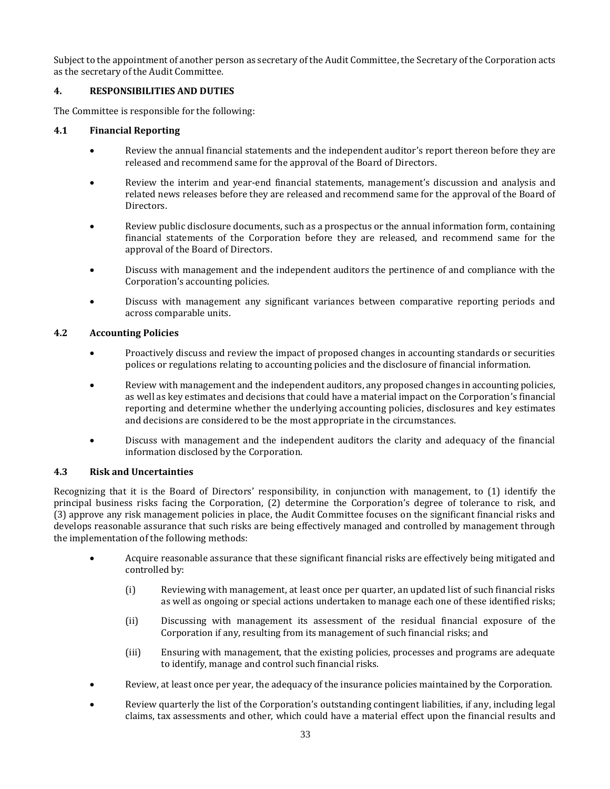Subject to the appointment of another person as secretary of the Audit Committee, the Secretary of the Corporation acts as the secretary of the Audit Committee.

### **4. RESPONSIBILITIES AND DUTIES**

The Committee is responsible for the following:

### **4.1 Financial Reporting**

- Review the annual financial statements and the independent auditor's report thereon before they are released and recommend same for the approval of the Board of Directors.
- Review the interim and year-end financial statements, management's discussion and analysis and related news releases before they are released and recommend same for the approval of the Board of Directors.
- Review public disclosure documents, such as a prospectus or the annual information form, containing financial statements of the Corporation before they are released, and recommend same for the approval of the Board of Directors.
- Discuss with management and the independent auditors the pertinence of and compliance with the Corporation's accounting policies.
- Discuss with management any significant variances between comparative reporting periods and across comparable units.

### **4.2 Accounting Policies**

- Proactively discuss and review the impact of proposed changes in accounting standards or securities polices or regulations relating to accounting policies and the disclosure of financial information.
- Review with management and the independent auditors, any proposed changes in accounting policies, as well as key estimates and decisions that could have a material impact on the Corporation's financial reporting and determine whether the underlying accounting policies, disclosures and key estimates and decisions are considered to be the most appropriate in the circumstances.
- Discuss with management and the independent auditors the clarity and adequacy of the financial information disclosed by the Corporation.

### **4.3 Risk and Uncertainties**

Recognizing that it is the Board of Directors' responsibility, in conjunction with management, to (1) identify the principal business risks facing the Corporation, (2) determine the Corporation's degree of tolerance to risk, and (3) approve any risk management policies in place, the Audit Committee focuses on the significant financial risks and develops reasonable assurance that such risks are being effectively managed and controlled by management through the implementation of the following methods:

- Acquire reasonable assurance that these significant financial risks are effectively being mitigated and controlled by:
	- (i) Reviewing with management, at least once per quarter, an updated list of such financial risks as well as ongoing or special actions undertaken to manage each one of these identified risks;
	- (ii) Discussing with management its assessment of the residual financial exposure of the Corporation if any, resulting from its management of such financial risks; and
	- (iii) Ensuring with management, that the existing policies, processes and programs are adequate to identify, manage and control such financial risks.
- Review, at least once per year, the adequacy of the insurance policies maintained by the Corporation.
- Review quarterly the list of the Corporation's outstanding contingent liabilities, if any, including legal claims, tax assessments and other, which could have a material effect upon the financial results and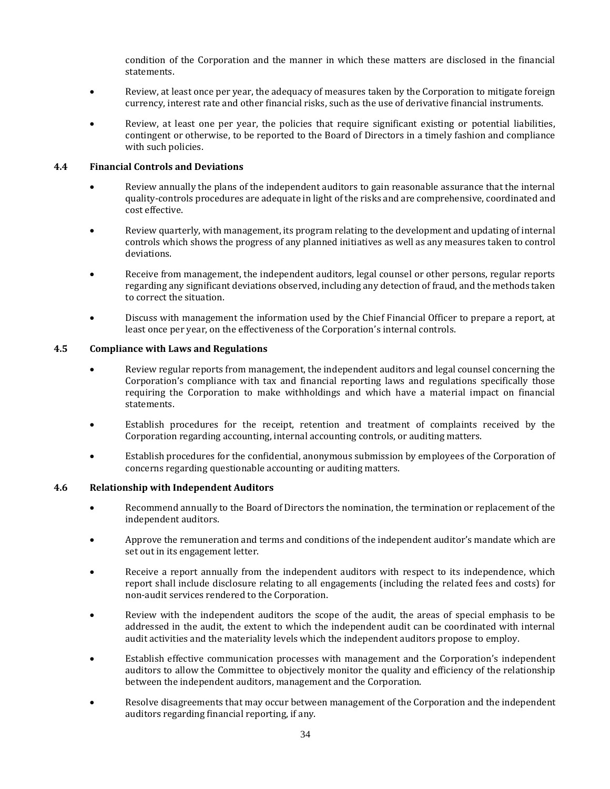condition of the Corporation and the manner in which these matters are disclosed in the financial statements.

- Review, at least once per year, the adequacy of measures taken by the Corporation to mitigate foreign currency, interest rate and other financial risks, such as the use of derivative financial instruments.
- Review, at least one per year, the policies that require significant existing or potential liabilities, contingent or otherwise, to be reported to the Board of Directors in a timely fashion and compliance with such policies.

### **4.4 Financial Controls and Deviations**

- Review annually the plans of the independent auditors to gain reasonable assurance that the internal quality-controls procedures are adequate in light of the risks and are comprehensive, coordinated and cost effective.
- Review quarterly, with management, its program relating to the development and updating of internal controls which shows the progress of any planned initiatives as well as any measures taken to control deviations.
- Receive from management, the independent auditors, legal counsel or other persons, regular reports regarding any significant deviations observed, including any detection of fraud, and the methods taken to correct the situation.
- Discuss with management the information used by the Chief Financial Officer to prepare a report, at least once per year, on the effectiveness of the Corporation's internal controls.

### **4.5 Compliance with Laws and Regulations**

- Review regular reports from management, the independent auditors and legal counsel concerning the Corporation's compliance with tax and financial reporting laws and regulations specifically those requiring the Corporation to make withholdings and which have a material impact on financial statements.
- Establish procedures for the receipt, retention and treatment of complaints received by the Corporation regarding accounting, internal accounting controls, or auditing matters.
- Establish procedures for the confidential, anonymous submission by employees of the Corporation of concerns regarding questionable accounting or auditing matters.

### **4.6 Relationship with Independent Auditors**

- Recommend annually to the Board of Directors the nomination, the termination or replacement of the independent auditors.
- Approve the remuneration and terms and conditions of the independent auditor's mandate which are set out in its engagement letter.
- Receive a report annually from the independent auditors with respect to its independence, which report shall include disclosure relating to all engagements (including the related fees and costs) for non-audit services rendered to the Corporation.
- Review with the independent auditors the scope of the audit, the areas of special emphasis to be addressed in the audit, the extent to which the independent audit can be coordinated with internal audit activities and the materiality levels which the independent auditors propose to employ.
- Establish effective communication processes with management and the Corporation's independent auditors to allow the Committee to objectively monitor the quality and efficiency of the relationship between the independent auditors, management and the Corporation.
- Resolve disagreements that may occur between management of the Corporation and the independent auditors regarding financial reporting, if any.